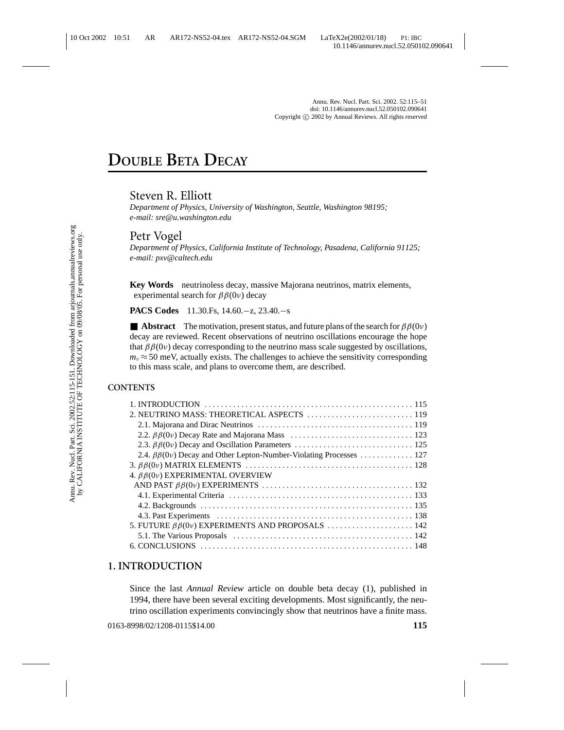# **DOUBLE BETA DECAY**

## Steven R. Elliott

*Department of Physics, University of Washington, Seattle, Washington 98195; e-mail: sre@u.washington.edu*

## Petr Vogel

*Department of Physics, California Institute of Technology, Pasadena, California 91125; e-mail: pxv@caltech.edu*

**Key Words** neutrinoless decay, massive Majorana neutrinos, matrix elements, experimental search for  $\beta\beta(0\nu)$  decay

**PACS Codes** 11.30.Fs, 14.60.−z, 23.40.−s

**Abstract** The motivation, present status, and future plans of the search for  $\beta \beta(0\nu)$ decay are reviewed. Recent observations of neutrino oscillations encourage the hope that  $\beta\beta(0v)$  decay corresponding to the neutrino mass scale suggested by oscillations,  $m_v \approx 50$  meV, actually exists. The challenges to achieve the sensitivity corresponding to this mass scale, and plans to overcome them, are described.

#### **CONTENTS**

| 2.4. $\beta\beta(0v)$ Decay and Other Lepton-Number-Violating Processes  127 |  |
|------------------------------------------------------------------------------|--|
|                                                                              |  |
| 4. $\beta\beta(0\nu)$ EXPERIMENTAL OVERVIEW                                  |  |
|                                                                              |  |
|                                                                              |  |
|                                                                              |  |
|                                                                              |  |
|                                                                              |  |
|                                                                              |  |
|                                                                              |  |

## **1. INTRODUCTION**

Since the last *Annual Review* article on double beta decay (1), published in 1994, there have been several exciting developments. Most significantly, the neutrino oscillation experiments convincingly show that neutrinos have a finite mass.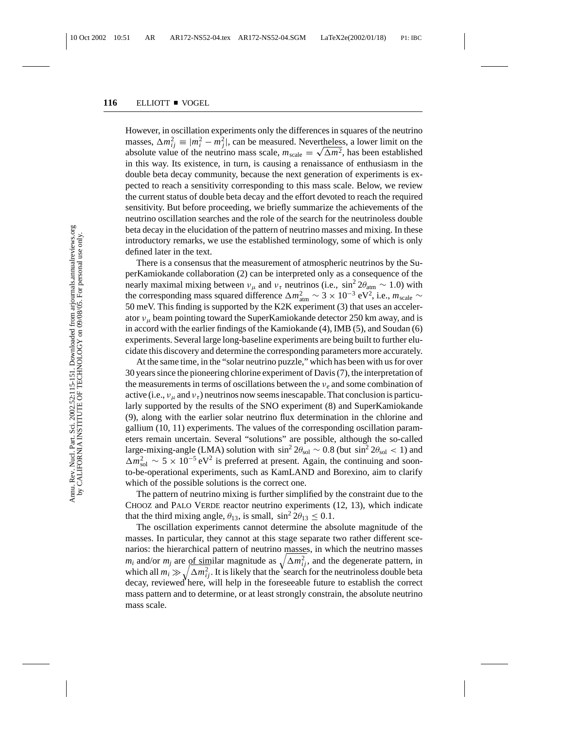However, in oscillation experiments only the differences in squares of the neutrino masses,  $\Delta m_{ij}^2 \equiv |m_i^2 - m_j^2|$ , can be measured. Nevertheless, a lower limit on the masses,  $\Delta m_{ij}^2 \equiv |m_i^2 - m_j^2|$ , can be measured. Nevertheless, a lower limit on the absolute value of the neutrino mass scale,  $m_{scale} = \sqrt{\Delta m^2}$ , has been established in this way. Its existence, in turn, is causing a renaissance of enthusiasm in the double beta decay community, because the next generation of experiments is expected to reach a sensitivity corresponding to this mass scale. Below, we review the current status of double beta decay and the effort devoted to reach the required sensitivity. But before proceeding, we briefly summarize the achievements of the neutrino oscillation searches and the role of the search for the neutrinoless double beta decay in the elucidation of the pattern of neutrino masses and mixing. In these introductory remarks, we use the established terminology, some of which is only defined later in the text.

There is a consensus that the measurement of atmospheric neutrinos by the SuperKamiokande collaboration (2) can be interpreted only as a consequence of the nearly maximal mixing between  $v_{\mu}$  and  $v_{\tau}$  neutrinos (i.e., sin<sup>2</sup> 2 $\theta_{\text{atm}} \sim 1.0$ ) with the corresponding mass squared difference  $\Delta m_{\text{atm}}^2 \sim 3 \times 10^{-3} \text{ eV}^2$ , i.e.,  $m_{\text{scale}} \sim$ 50 meV. This finding is supported by the K2K experiment (3) that uses an accelerator  $v_{\mu}$  beam pointing toward the SuperKamiokande detector 250 km away, and is in accord with the earlier findings of the Kamiokande (4), IMB (5), and Soudan (6) experiments. Several large long-baseline experiments are being built to further elucidate this discovery and determine the corresponding parameters more accurately.

At the same time, in the "solar neutrino puzzle," which has been with us for over 30 years since the pioneering chlorine experiment of Davis (7), the interpretation of the measurements in terms of oscillations between the ν*<sup>e</sup>* and some combination of active (i.e.,  $v_{\mu}$  and  $v_{\tau}$ ) neutrinos now seems inescapable. That conclusion is particularly supported by the results of the SNO experiment (8) and SuperKamiokande (9), along with the earlier solar neutrino flux determination in the chlorine and gallium (10, 11) experiments. The values of the corresponding oscillation parameters remain uncertain. Several "solutions" are possible, although the so-called large-mixing-angle (LMA) solution with  $\sin^2 2\theta_{\rm sol} \sim 0.8$  (but  $\sin^2 2\theta_{\rm sol} < 1$ ) and  $\Delta m_{\text{sol}}^2 \sim 5 \times 10^{-5} \text{ eV}^2$  is preferred at present. Again, the continuing and soonto-be-operational experiments, such as KamLAND and Borexino, aim to clarify which of the possible solutions is the correct one.

The pattern of neutrino mixing is further simplified by the constraint due to the CHOOZ and PALO VERDE reactor neutrino experiments (12, 13), which indicate that the third mixing angle,  $\theta_{13}$ , is small,  $\sin^2 2\theta_{13} \leq 0.1$ .

The oscillation experiments cannot determine the absolute magnitude of the masses. In particular, they cannot at this stage separate two rather different scenarios: the hierarchical pattern of neutrino masses, in which the neutrino masses  $m_i$  and/or  $m_j$  are of similar magnitude as  $\sqrt{\Delta m_{ij}^2}$ , and the degenerate pattern, in which all  $m_i \gg \sqrt{\Delta m_{ij}^2}$ . It is likely that the search for the neutrinoless double beta decay, reviewed here, will help in the foreseeable future to establish the correct mass pattern and to determine, or at least strongly constrain, the absolute neutrino mass scale.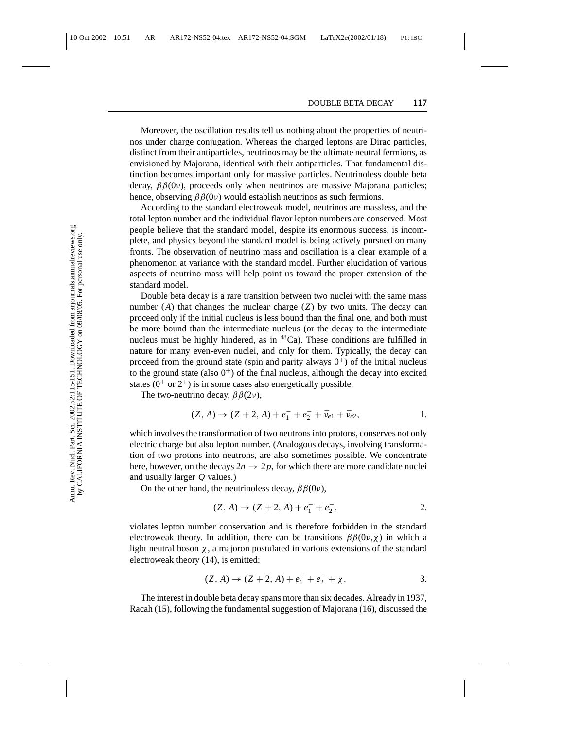Moreover, the oscillation results tell us nothing about the properties of neutrinos under charge conjugation. Whereas the charged leptons are Dirac particles, distinct from their antiparticles, neutrinos may be the ultimate neutral fermions, as envisioned by Majorana, identical with their antiparticles. That fundamental distinction becomes important only for massive particles. Neutrinoless double beta decay,  $\beta\beta(0v)$ , proceeds only when neutrinos are massive Majorana particles; hence, observing  $\beta\beta(0v)$  would establish neutrinos as such fermions.

According to the standard electroweak model, neutrinos are massless, and the total lepton number and the individual flavor lepton numbers are conserved. Most people believe that the standard model, despite its enormous success, is incomplete, and physics beyond the standard model is being actively pursued on many fronts. The observation of neutrino mass and oscillation is a clear example of a phenomenon at variance with the standard model. Further elucidation of various aspects of neutrino mass will help point us toward the proper extension of the standard model.

Double beta decay is a rare transition between two nuclei with the same mass number  $(A)$  that changes the nuclear charge  $(Z)$  by two units. The decay can proceed only if the initial nucleus is less bound than the final one, and both must be more bound than the intermediate nucleus (or the decay to the intermediate nucleus must be highly hindered, as in  ${}^{48}Ca$ ). These conditions are fulfilled in nature for many even-even nuclei, and only for them. Typically, the decay can proceed from the ground state (spin and parity always  $0^+$ ) of the initial nucleus to the ground state (also  $0^+$ ) of the final nucleus, although the decay into excited states ( $0^+$  or  $2^+$ ) is in some cases also energetically possible.

The two-neutrino decay,  $\beta\beta(2\nu)$ ,

$$
(Z, A) \to (Z + 2, A) + e_1^- + e_2^- + \bar{\nu}_{e1} + \bar{\nu}_{e2}, \tag{1.}
$$

which involves the transformation of two neutrons into protons, conserves not only electric charge but also lepton number. (Analogous decays, involving transformation of two protons into neutrons, are also sometimes possible. We concentrate here, however, on the decays  $2n \rightarrow 2p$ , for which there are more candidate nuclei and usually larger *Q* values.)

On the other hand, the neutrinoless decay,  $\beta\beta(0v)$ ,

$$
(Z, A) \to (Z + 2, A) + e_1^- + e_2^-,
$$
 2.

violates lepton number conservation and is therefore forbidden in the standard electroweak theory. In addition, there can be transitions  $\beta\beta(0v,\chi)$  in which a light neutral boson  $\chi$ , a majoron postulated in various extensions of the standard electroweak theory (14), is emitted:

$$
(Z, A) \to (Z + 2, A) + e_1^- + e_2^- + \chi.
$$

The interest in double beta decay spans more than six decades. Already in 1937, Racah (15), following the fundamental suggestion of Majorana (16), discussed the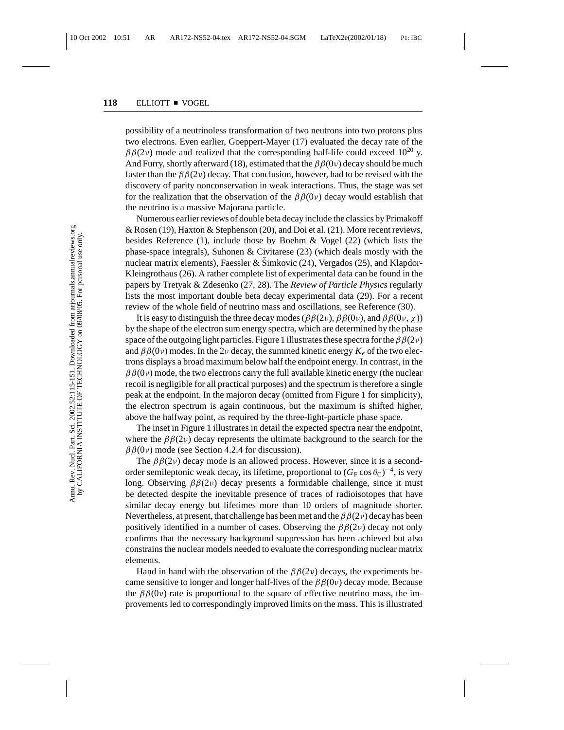possibility of a neutrinoless transformation of two neutrons into two protons plus two electrons. Even earlier, Goeppert-Mayer (17) evaluated the decay rate of the  $\beta\beta(2\nu)$  mode and realized that the corresponding half-life could exceed 10<sup>20</sup> y. And Furry, shortly afterward (18), estimated that the  $\beta\beta(0\nu)$  decay should be much faster than the  $\beta\beta(2\nu)$  decay. That conclusion, however, had to be revised with the discovery of parity nonconservation in weak interactions. Thus, the stage was set for the realization that the observation of the  $\beta\beta(0\nu)$  decay would establish that the neutrino is a massive Majorana particle.

Numerous earlier reviews of double beta decay include the classics by Primakoff & Rosen (19), Haxton & Stephenson (20), and Doi et al. (21). More recent reviews, besides Reference (1), include those by Boehm & Vogel (22) (which lists the phase-space integrals), Suhonen & Civitarese (23) (which deals mostly with the nuclear matrix elements), Faessler & Šimkovic  $(24)$ , Vergados  $(25)$ , and Klapdor-Kleingrothaus (26). A rather complete list of experimental data can be found in the papers by Tretyak & Zdesenko (27, 28). The *Review of Particle Physics* regularly lists the most important double beta decay experimental data (29). For a recent review of the whole field of neutrino mass and oscillations, see Reference (30).

It is easy to distinguish the three decay modes ( $\beta\beta(2\nu)$ ,  $\beta\beta(0\nu)$ , and  $\beta\beta(0\nu, \chi)$ ) by the shape of the electron sum energy spectra, which are determined by the phase space of the outgoing light particles. Figure 1 illustrates these spectra for the  $\beta\beta(2\nu)$ and  $\beta\beta(0v)$  modes. In the 2*v* decay, the summed kinetic energy  $K_e$  of the two electrons displays a broad maximum below half the endpoint energy. In contrast, in the  $\beta\beta(0v)$  mode, the two electrons carry the full available kinetic energy (the nuclear recoil is negligible for all practical purposes) and the spectrum is therefore a single peak at the endpoint. In the majoron decay (omitted from Figure 1 for simplicity), the electron spectrum is again continuous, but the maximum is shifted higher, above the halfway point, as required by the three-light-particle phase space.

The inset in Figure 1 illustrates in detail the expected spectra near the endpoint, where the  $\beta\beta(2\nu)$  decay represents the ultimate background to the search for the  $\beta\beta(0v)$  mode (see Section 4.2.4 for discussion).

The  $\beta\beta(2\nu)$  decay mode is an allowed process. However, since it is a secondorder semileptonic weak decay, its lifetime, proportional to  $(G_F\cos\theta_C)^{-4}$ , is very long. Observing  $\beta\beta(2\nu)$  decay presents a formidable challenge, since it must be detected despite the inevitable presence of traces of radioisotopes that have similar decay energy but lifetimes more than 10 orders of magnitude shorter. Nevertheless, at present, that challenge has been met and the  $\beta\beta(2\nu)$  decay has been positively identified in a number of cases. Observing the  $\beta\beta(2\nu)$  decay not only confirms that the necessary background suppression has been achieved but also constrains the nuclear models needed to evaluate the corresponding nuclear matrix elements.

Hand in hand with the observation of the  $\beta\beta(2\nu)$  decays, the experiments became sensitive to longer and longer half-lives of the  $\beta\beta(0\nu)$  decay mode. Because the  $\beta\beta(0v)$  rate is proportional to the square of effective neutrino mass, the improvements led to correspondingly improved limits on the mass. This is illustrated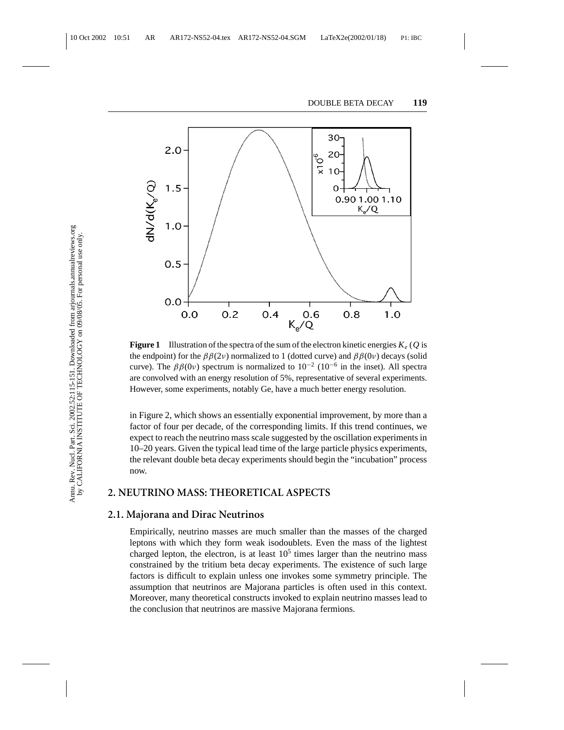

**Figure 1** Illustration of the spectra of the sum of the electron kinetic energies  $K_e$  (Q is the endpoint) for the  $\beta\beta(2\nu)$  normalized to 1 (dotted curve) and  $\beta\beta(0\nu)$  decays (solid curve). The  $\beta\beta(0v)$  spectrum is normalized to  $10^{-2}$  ( $10^{-6}$  in the inset). All spectra are convolved with an energy resolution of 5%, representative of several experiments. However, some experiments, notably Ge, have a much better energy resolution.

in Figure 2, which shows an essentially exponential improvement, by more than a factor of four per decade, of the corresponding limits. If this trend continues, we expect to reach the neutrino mass scale suggested by the oscillation experiments in 10–20 years. Given the typical lead time of the large particle physics experiments, the relevant double beta decay experiments should begin the "incubation" process now.

### **2. NEUTRINO MASS: THEORETICAL ASPECTS**

### **2.1. Majorana and Dirac Neutrinos**

Empirically, neutrino masses are much smaller than the masses of the charged leptons with which they form weak isodoublets. Even the mass of the lightest charged lepton, the electron, is at least  $10<sup>5</sup>$  times larger than the neutrino mass constrained by the tritium beta decay experiments. The existence of such large factors is difficult to explain unless one invokes some symmetry principle. The assumption that neutrinos are Majorana particles is often used in this context. Moreover, many theoretical constructs invoked to explain neutrino masses lead to the conclusion that neutrinos are massive Majorana fermions.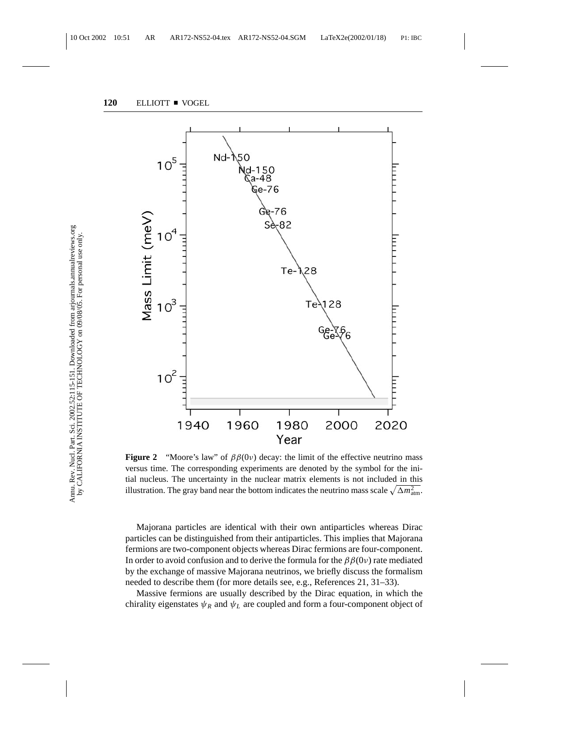

**Figure 2** "Moore's law" of  $\beta\beta(0\nu)$  decay: the limit of the effective neutrino mass versus time. The corresponding experiments are denoted by the symbol for the initial nucleus. The uncertainty in the nuclear matrix elements is not included in this illustration. The gray band near the bottom indicates the neutrino mass scale  $\sqrt{\Delta m_{\text{atm}}^2}$ .

Majorana particles are identical with their own antiparticles whereas Dirac particles can be distinguished from their antiparticles. This implies that Majorana fermions are two-component objects whereas Dirac fermions are four-component. In order to avoid confusion and to derive the formula for the  $\beta\beta(0\nu)$  rate mediated by the exchange of massive Majorana neutrinos, we briefly discuss the formalism needed to describe them (for more details see, e.g., References 21, 31–33).

Massive fermions are usually described by the Dirac equation, in which the chirality eigenstates  $\psi_R$  and  $\psi_L$  are coupled and form a four-component object of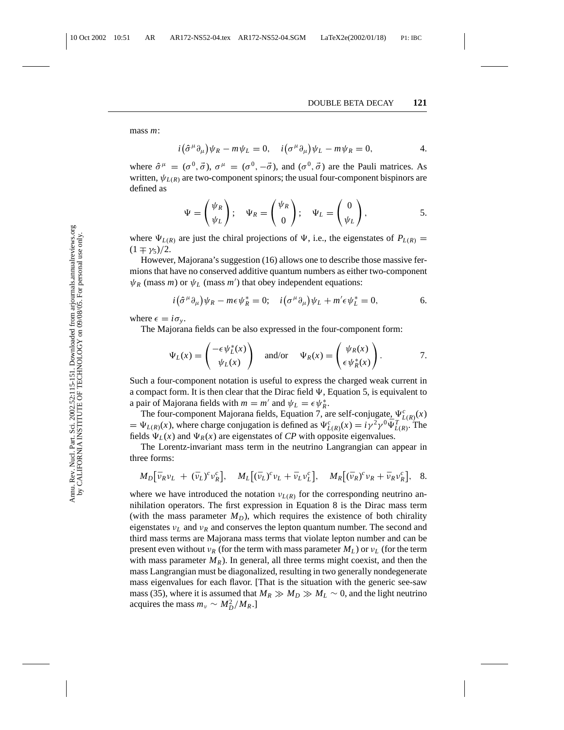mass *m*:

$$
i(\hat{\sigma}^{\mu}\partial_{\mu})\psi_{R} - m\psi_{L} = 0, \quad i(\sigma^{\mu}\partial_{\mu})\psi_{L} - m\psi_{R} = 0, \qquad 4.
$$

where  $\hat{\sigma}^{\mu} = (\sigma^0, \vec{\sigma})$ ,  $\sigma^{\mu} = (\sigma^0, -\vec{\sigma})$ , and  $(\sigma^0, \vec{\sigma})$  are the Pauli matrices. As written,  $\psi_{L(R)}$  are two-component spinors; the usual four-component bispinors are defined as

$$
\Psi = \begin{pmatrix} \psi_R \\ \psi_L \end{pmatrix}; \quad \Psi_R = \begin{pmatrix} \psi_R \\ 0 \end{pmatrix}; \quad \Psi_L = \begin{pmatrix} 0 \\ \psi_L \end{pmatrix}, \quad 5.
$$

where  $\Psi_{L(R)}$  are just the chiral projections of  $\Psi$ , i.e., the eigenstates of  $P_{L(R)} =$  $(1 \mp \gamma_5)/2$ .

However, Majorana's suggestion (16) allows one to describe those massive fermions that have no conserved additive quantum numbers as either two-component  $\psi_R$  (mass *m*) or  $\psi_L$  (mass *m'*) that obey independent equations:

$$
i(\hat{\sigma}^{\mu}\partial_{\mu})\psi_{R} - m\epsilon\psi_{R}^{*} = 0; \quad i(\sigma^{\mu}\partial_{\mu})\psi_{L} + m'\epsilon\psi_{L}^{*} = 0, \qquad 6.
$$

where  $\epsilon = i\sigma_{\nu}$ .

The Majorana fields can be also expressed in the four-component form:

$$
\Psi_L(x) = \begin{pmatrix} -\epsilon \psi_L^*(x) \\ \psi_L(x) \end{pmatrix} \text{ and/or } \Psi_R(x) = \begin{pmatrix} \psi_R(x) \\ \epsilon \psi_R^*(x) \end{pmatrix}.
$$
 7.

Such a four-component notation is useful to express the charged weak current in a compact form. It is then clear that the Dirac field  $\Psi$ , Equation 5, is equivalent to a pair of Majorana fields with  $m = m'$  and  $\psi_L = \epsilon \psi_R^*$ .

The four-component Majorana fields, Equation 7, are self-conjugate,  $\Psi_{L(R)}^c(x)$  $= \Psi_{L(R)}(x)$ , where charge conjugation is defined as  $\Psi_{L(R)}^c(x) = i\gamma^2 \gamma^0 \bar{\Psi}_{L(R)}^{T}$ . The fields  $\Psi_L(x)$  and  $\Psi_R(x)$  are eigenstates of *CP* with opposite eigenvalues.

The Lorentz-invariant mass term in the neutrino Langrangian can appear in three forms:

$$
M_D[\bar{v}_R v_L + (\bar{v}_L)^c v_R^c], \quad M_L[(\bar{v}_L)^c v_L + \bar{v}_L v_L^c], \quad M_R[(\bar{v}_R)^c v_R + \bar{v}_R v_R^c], \quad 8.
$$

where we have introduced the notation  $v_{L(R)}$  for the corresponding neutrino annihilation operators. The first expression in Equation 8 is the Dirac mass term (with the mass parameter  $M_D$ ), which requires the existence of both chirality eigenstates  $v_L$  and  $v_R$  and conserves the lepton quantum number. The second and third mass terms are Majorana mass terms that violate lepton number and can be present even without  $v_R$  (for the term with mass parameter  $M_L$ ) or  $v_L$  (for the term with mass parameter  $M_R$ ). In general, all three terms might coexist, and then the mass Langrangian must be diagonalized, resulting in two generally nondegenerate mass eigenvalues for each flavor. [That is the situation with the generic see-saw mass (35), where it is assumed that  $M_R \gg M_D \gg M_L \sim 0$ , and the light neutrino acquires the mass  $m_{\nu} \sim M_D^2/M_R$ .]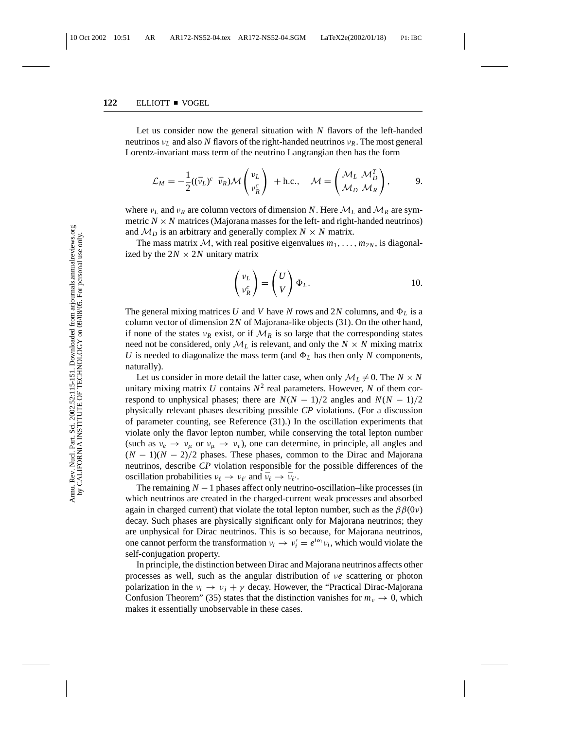Let us consider now the general situation with *N* flavors of the left-handed neutrinos ν*<sup>L</sup>* and also *N* flavors of the right-handed neutrinos ν*R*. The most general Lorentz-invariant mass term of the neutrino Langrangian then has the form

$$
\mathcal{L}_M = -\frac{1}{2}((\bar{\nu}_L)^c \ \ \bar{\nu}_R)\mathcal{M}\begin{pmatrix} \nu_L \\ \nu_R^c \end{pmatrix} + \text{h.c.,} \quad \mathcal{M} = \begin{pmatrix} \mathcal{M}_L & \mathcal{M}_D^T \\ \mathcal{M}_D & \mathcal{M}_R \end{pmatrix}, \quad 9.
$$

where  $v_L$  and  $v_R$  are column vectors of dimension N. Here  $\mathcal{M}_L$  and  $\mathcal{M}_R$  are symmetric  $N \times N$  matrices (Majorana masses for the left- and right-handed neutrinos) and  $M_D$  is an arbitrary and generally complex  $N \times N$  matrix.

The mass matrix M, with real positive eigenvalues  $m_1, \ldots, m_{2N}$ , is diagonalized by the  $2N \times 2N$  unitary matrix

$$
\begin{pmatrix} v_L \\ v_R^c \end{pmatrix} = \begin{pmatrix} U \\ V \end{pmatrix} \Phi_L.
$$
 10.

The general mixing matrices U and V have N rows and 2N columns, and  $\Phi_L$  is a column vector of dimension 2*N* of Majorana-like objects (31). On the other hand, if none of the states  $v_R$  exist, or if  $\mathcal{M}_R$  is so large that the corresponding states need not be considered, only  $M_L$  is relevant, and only the  $N \times N$  mixing matrix *U* is needed to diagonalize the mass term (and  $\Phi_L$  has then only *N* components, naturally).

Let us consider in more detail the latter case, when only  $M_L \neq 0$ . The  $N \times N$ unitary mixing matrix  $U$  contains  $N^2$  real parameters. However,  $N$  of them correspond to unphysical phases; there are  $N(N - 1)/2$  angles and  $N(N - 1)/2$ physically relevant phases describing possible *CP* violations. (For a discussion of parameter counting, see Reference (31).) In the oscillation experiments that violate only the flavor lepton number, while conserving the total lepton number (such as  $v_e \rightarrow v_\mu$  or  $v_\mu \rightarrow v_\tau$ ), one can determine, in principle, all angles and  $(N-1)(N-2)/2$  phases. These phases, common to the Dirac and Majorana neutrinos, describe *CP* violation responsible for the possible differences of the oscillation probabilities  $v_\ell \to v_{\ell'}$  and  $\bar{v}_\ell \to \bar{v}_{\ell'}$ .

The remaining  $N-1$  phases affect only neutrino-oscillation–like processes (in which neutrinos are created in the charged-current weak processes and absorbed again in charged current) that violate the total lepton number, such as the  $\beta\beta(0\nu)$ decay. Such phases are physically significant only for Majorana neutrinos; they are unphysical for Dirac neutrinos. This is so because, for Majorana neutrinos, one cannot perform the transformation  $v_i \rightarrow v'_i = e^{i\alpha_i} v_i$ , which would violate the self-conjugation property.

In principle, the distinction between Dirac and Majorana neutrinos affects other processes as well, such as the angular distribution of ν*e* scattering or photon polarization in the  $v_i \rightarrow v_j + \gamma$  decay. However, the "Practical Dirac-Majorana" Confusion Theorem" (35) states that the distinction vanishes for  $m_v \to 0$ , which makes it essentially unobservable in these cases.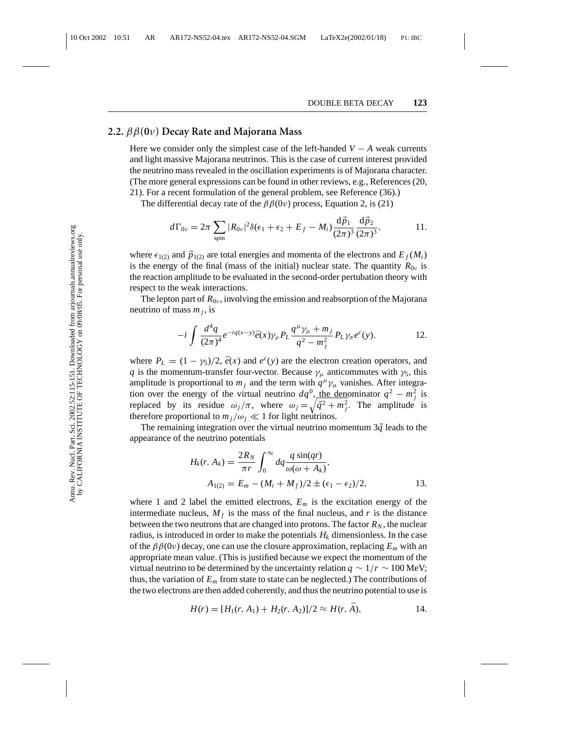## **2.2.** ββ**(0**ν**) Decay Rate and Majorana Mass**

Here we consider only the simplest case of the left-handed  $V - A$  weak currents and light massive Majorana neutrinos. This is the case of current interest provided the neutrino mass revealed in the oscillation experiments is of Majorana character. (The more general expressions can be found in other reviews, e.g., References (20, 21). For a recent formulation of the general problem, see Reference (36).)

The differential decay rate of the  $\beta\beta(0\nu)$  process, Equation 2, is (21)

$$
d\Gamma_{0\nu}=2\pi\sum_{\text{spin}}|R_{0\nu}|^2\delta(\epsilon_1+\epsilon_2+E_f-M_i)\frac{\mathrm{d}\vec{p}_1}{(2\pi)^3}\frac{\mathrm{d}\vec{p}_2}{(2\pi)^3},\qquad\qquad 11.
$$

where  $\epsilon_{1(2)}$  and  $\vec{p}_{1(2)}$  are total energies and momenta of the electrons and  $E_f(M_i)$ is the energy of the final (mass of the initial) nuclear state. The quantity  $R_{0\nu}$  is the reaction amplitude to be evaluated in the second-order pertubation theory with respect to the weak interactions.

The lepton part of  $R_{0\nu}$ , involving the emission and reabsorption of the Majorana neutrino of mass  $m_i$ , is

$$
-i\int \frac{d^4q}{(2\pi)^4}e^{-iq(x-y)}\bar{e}(x)\gamma_\rho P_L \frac{q^\mu\gamma_\mu+m_j}{q^2-m_j^2}P_L\gamma_\sigma e^c(y),\qquad 12.
$$

where  $P_L = (1 - \gamma_5)/2$ ,  $\bar{e}(x)$  and  $e^c(y)$  are the electron creation operators, and *q* is the momentum-transfer four-vector. Because  $\gamma_{\mu}$  anticommutes with  $\gamma_5$ , this amplitude is proportional to  $m_j$  and the term with  $q^\mu \gamma_\mu$  vanishes. After integration over the energy of the virtual neutrino  $dq^0$ , the denominator  $q^2 - m_j^2$  is replaced by its residue  $\omega_j/\pi$ , where  $\omega_j = \sqrt{\vec{q}^2 + m_j^2}$ . The amplitude is therefore proportional to  $m_i/\omega_i \ll 1$  for light neutrinos.

The remaining integration over the virtual neutrino momentum  $3\vec{q}$  leads to the appearance of the neutrino potentials

$$
H_k(r, A_k) = \frac{2R_N}{\pi r} \int_0^\infty dq \frac{q \sin(qr)}{\omega(\omega + A_k)},
$$
  
\n
$$
A_{1(2)} = E_m - (M_i + M_f)/2 \pm (\epsilon_1 - \epsilon_2)/2,
$$
\n13.

where 1 and 2 label the emitted electrons,  $E_m$  is the excitation energy of the intermediate nucleus,  $M_f$  is the mass of the final nucleus, and r is the distance between the two neutrons that are changed into protons. The factor  $R_N$ , the nuclear radius, is introduced in order to make the potentials  $H_k$  dimensionless. In the case of the  $\beta\beta(0v)$  decay, one can use the closure approximation, replacing  $E_m$  with an appropriate mean value. (This is justified because we expect the momentum of the virtual neutrino to be determined by the uncertainty relation  $q \sim 1/r \sim 100$  MeV; thus, the variation of  $E_m$  from state to state can be neglected.) The contributions of the two electrons are then added coherently, and thus the neutrino potential to use is

$$
H(r) = [H_1(r, A_1) + H_2(r, A_2)]/2 \approx H(r, \bar{A}), \qquad 14.
$$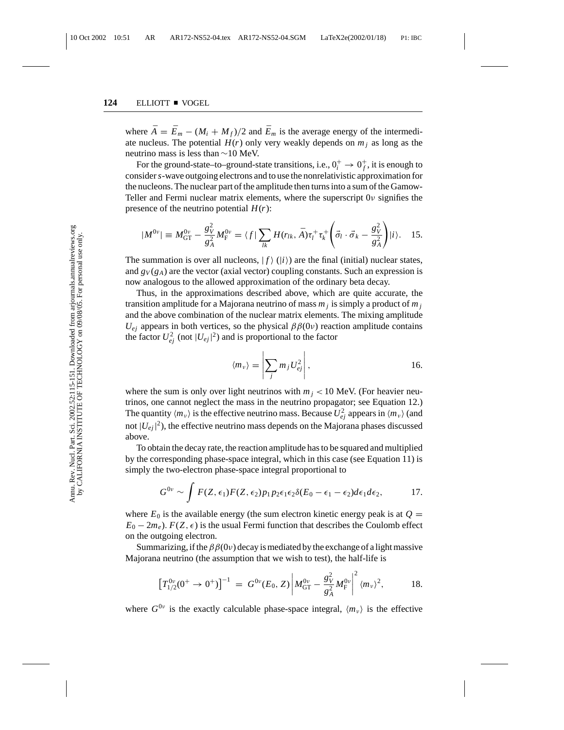where  $\bar{A} = \bar{E}_m - (M_i + M_f)/2$  and  $\bar{E}_m$  is the average energy of the intermediate nucleus. The potential  $H(r)$  only very weakly depends on  $m_i$  as long as the neutrino mass is less than ∼10 MeV.

For the ground-state–to–ground-state transitions, i.e.,  $0_i^+ \rightarrow 0_f^+$ , it is enough to consider*s*-wave outgoing electrons and to use the nonrelativistic approximation for the nucleons. The nuclear part of the amplitude then turns into a sum of the Gamow-Teller and Fermi nuclear matrix elements, where the superscript 0ν signifies the presence of the neutrino potential  $H(r)$ :

$$
|M^{0\nu}| \equiv M_{\rm GT}^{0\nu} - \frac{g_V^2}{g_A^2} M_{\rm F}^{0\nu} = \langle f | \sum_{lk} H(r_{lk}, \bar{A}) \tau_l^+ \tau_k^+ \left( \vec{\sigma}_l \cdot \vec{\sigma}_k - \frac{g_V^2}{g_A^2} \right) |i\rangle. \quad 15.
$$

The summation is over all nucleons,  $| f \rangle$  ( $|i \rangle$ ) are the final (initial) nuclear states, and  $g_V(g_A)$  are the vector (axial vector) coupling constants. Such an expression is now analogous to the allowed approximation of the ordinary beta decay.

Thus, in the approximations described above, which are quite accurate, the transition amplitude for a Majorana neutrino of mass  $m_j$  is simply a product of  $m_j$ and the above combination of the nuclear matrix elements. The mixing amplitude  $U_{ej}$  appears in both vertices, so the physical  $\beta\beta(0v)$  reaction amplitude contains the factor  $U_{ej}^2$  (not  $|U_{ej}|^2$ ) and is proportional to the factor

$$
\langle m_{\nu} \rangle = \left| \sum_{j} m_{j} U_{ej}^{2} \right|, \qquad 16.
$$

where the sum is only over light neutrinos with  $m_j < 10$  MeV. (For heavier neutrinos, one cannot neglect the mass in the neutrino propagator; see Equation 12.) The quantity  $\langle m_v \rangle$  is the effective neutrino mass. Because  $U_{ej}^2$  appears in  $\langle m_v \rangle$  (and not  $|U_{ej}|^2$ ), the effective neutrino mass depends on the Majorana phases discussed above.

To obtain the decay rate, the reaction amplitude has to be squared and multiplied by the corresponding phase-space integral, which in this case (see Equation 11) is simply the two-electron phase-space integral proportional to

$$
G^{0\nu} \sim \int F(Z,\epsilon_1) F(Z,\epsilon_2) p_1 p_2 \epsilon_1 \epsilon_2 \delta(E_0-\epsilon_1-\epsilon_2) d\epsilon_1 d\epsilon_2, \qquad 17.
$$

where  $E_0$  is the available energy (the sum electron kinetic energy peak is at  $Q =$  $E_0 - 2m_e$ ). *F*(*Z*,  $\epsilon$ ) is the usual Fermi function that describes the Coulomb effect on the outgoing electron.

Summarizing, if the  $\beta\beta(0v)$  decay is mediated by the exchange of a light massive Majorana neutrino (the assumption that we wish to test), the half-life is

$$
\left[T_{1/2}^{0\nu}(0^+ \to 0^+)\right]^{-1} = G^{0\nu}(E_0, Z) \left|M_{\text{GT}}^{0\nu} - \frac{g_V^2}{g_A^2} M_{\text{F}}^{0\nu}\right|^2 \langle m_\nu \rangle^2, \quad 18.
$$

where  $G^{0\nu}$  is the exactly calculable phase-space integral,  $\langle m_{\nu} \rangle$  is the effective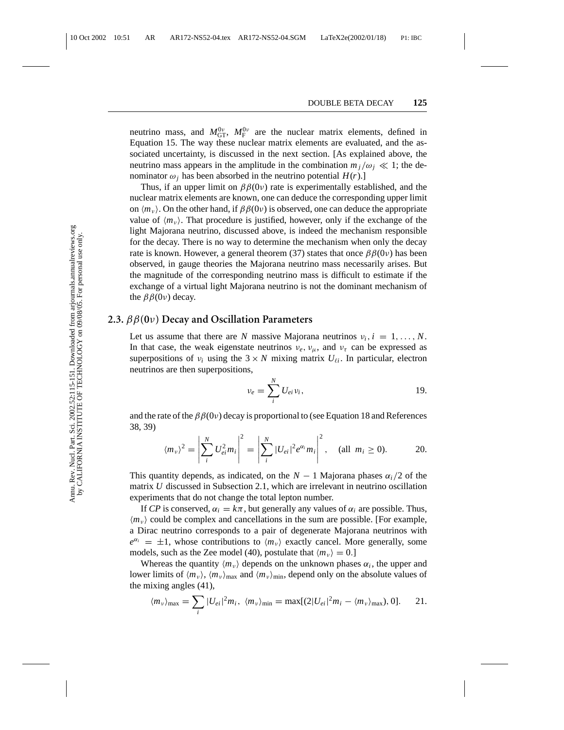neutrino mass, and  $M_{\text{GT}}^{0v}$ ,  $M_{\text{F}}^{0v}$  are the nuclear matrix elements, defined in Equation 15. The way these nuclear matrix elements are evaluated, and the associated uncertainty, is discussed in the next section. [As explained above, the neutrino mass appears in the amplitude in the combination  $m_j/\omega_j \ll 1$ ; the denominator  $\omega_i$  has been absorbed in the neutrino potential  $H(r)$ .]

Thus, if an upper limit on  $\beta\beta(0v)$  rate is experimentally established, and the nuclear matrix elements are known, one can deduce the corresponding upper limit on  $\langle m_v \rangle$ . On the other hand, if  $\beta\beta(0v)$  is observed, one can deduce the appropriate value of  $\langle m_v \rangle$ . That procedure is justified, however, only if the exchange of the light Majorana neutrino, discussed above, is indeed the mechanism responsible for the decay. There is no way to determine the mechanism when only the decay rate is known. However, a general theorem (37) states that once  $\beta\beta(0\nu)$  has been observed, in gauge theories the Majorana neutrino mass necessarily arises. But the magnitude of the corresponding neutrino mass is difficult to estimate if the exchange of a virtual light Majorana neutrino is not the dominant mechanism of the  $\beta\beta(0\nu)$  decay.

#### **2.3.** ββ**(0**ν**) Decay and Oscillation Parameters**

Let us assume that there are *N* massive Majorana neutrinos  $v_i$ ,  $i = 1, ..., N$ . In that case, the weak eigenstate neutrinos  $v_e$ ,  $v_\mu$ , and  $v_\tau$  can be expressed as superpositions of  $v_i$  using the  $3 \times N$  mixing matrix  $U_{\ell i}$ . In particular, electron neutrinos are then superpositions,

$$
v_e = \sum_i^N U_{ei} v_i, \qquad \qquad 19.
$$

and the rate of the  $\beta\beta(0v)$  decay is proportional to (see Equation 18 and References 38, 39)

$$
\langle m_{\nu} \rangle^{2} = \left| \sum_{i}^{N} U_{ei}^{2} m_{i} \right|^{2} = \left| \sum_{i}^{N} |U_{ei}|^{2} e^{\alpha_{i}} m_{i} \right|^{2}, \quad \text{(all } m_{i} \ge 0). \quad 20.
$$

This quantity depends, as indicated, on the  $N-1$  Majorana phases  $\alpha_i/2$  of the matrix *U* discussed in Subsection 2.1, which are irrelevant in neutrino oscillation experiments that do not change the total lepton number.

If *CP* is conserved,  $\alpha_i = k\pi$ , but generally any values of  $\alpha_i$  are possible. Thus,  $\langle m_{\nu} \rangle$  could be complex and cancellations in the sum are possible. [For example, a Dirac neutrino corresponds to a pair of degenerate Majorana neutrinos with  $e^{\alpha_i} = \pm 1$ , whose contributions to  $\langle m_v \rangle$  exactly cancel. More generally, some models, such as the Zee model (40), postulate that  $\langle m_v \rangle = 0$ .]

Whereas the quantity  $\langle m_{\nu} \rangle$  depends on the unknown phases  $\alpha_i$ , the upper and lower limits of  $\langle m_v \rangle$ ,  $\langle m_v \rangle_{\text{max}}$  and  $\langle m_v \rangle_{\text{min}}$ , depend only on the absolute values of the mixing angles (41),

$$
\langle m_{\nu} \rangle_{\text{max}} = \sum_{i} |U_{ei}|^2 m_i, \quad \langle m_{\nu} \rangle_{\text{min}} = \max[(2|U_{ei}|^2 m_i - \langle m_{\nu} \rangle_{\text{max}}), 0]. \quad 21.
$$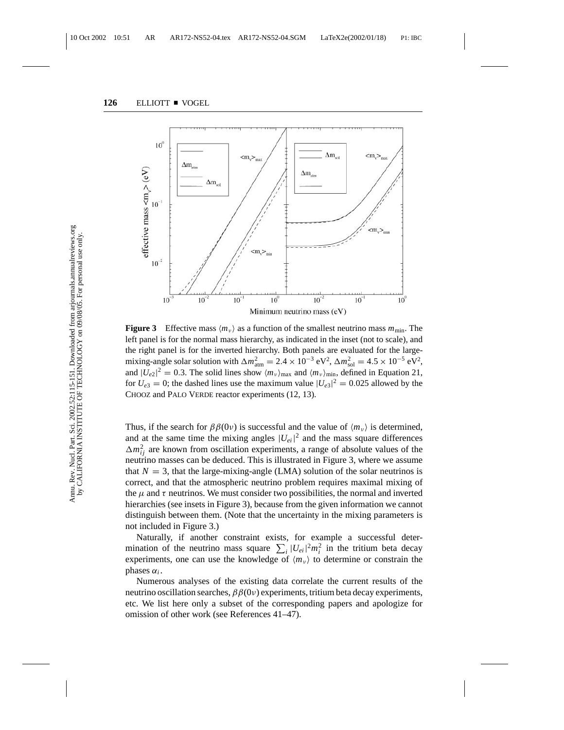

**Figure 3** Effective mass  $\langle m_v \rangle$  as a function of the smallest neutrino mass  $m_{\text{min}}$ . The left panel is for the normal mass hierarchy, as indicated in the inset (not to scale), and the right panel is for the inverted hierarchy. Both panels are evaluated for the largemixing-angle solar solution with  $\Delta m_{\text{atm}}^2 = 2.4 \times 10^{-3} \text{ eV}^2$ ,  $\Delta m_{\text{sol}}^2 = 4.5 \times 10^{-5} \text{ eV}^2$ , and  $|U_{e2}|^2 = 0.3$ . The solid lines show  $\langle m_\nu \rangle_{\text{max}}$  and  $\langle m_\nu \rangle_{\text{min}}$ , defined in Equation 21, for  $U_{e3} = 0$ ; the dashed lines use the maximum value  $|U_{e3}|^2 = 0.025$  allowed by the CHOOZ and PALO VERDE reactor experiments (12, 13).

Thus, if the search for  $\beta\beta(0v)$  is successful and the value of  $\langle m_v \rangle$  is determined, and at the same time the mixing angles  $|U_{ei}|^2$  and the mass square differences  $\Delta m_{ij}^2$  are known from oscillation experiments, a range of absolute values of the neutrino masses can be deduced. This is illustrated in Figure 3, where we assume that  $N = 3$ , that the large-mixing-angle (LMA) solution of the solar neutrinos is correct, and that the atmospheric neutrino problem requires maximal mixing of the  $\mu$  and  $\tau$  neutrinos. We must consider two possibilities, the normal and inverted hierarchies (see insets in Figure 3), because from the given information we cannot distinguish between them. (Note that the uncertainty in the mixing parameters is not included in Figure 3.)

Naturally, if another constraint exists, for example a successful determination of the neutrino mass square  $\sum_i |U_{ei}|^2 m_i^2$  in the tritium beta decay experiments, one can use the knowledge of  $\langle m_v \rangle$  to determine or constrain the phases  $α<sub>i</sub>$ .

Numerous analyses of the existing data correlate the current results of the neutrino oscillation searches,  $\beta \beta(0v)$  experiments, tritium beta decay experiments, etc. We list here only a subset of the corresponding papers and apologize for omission of other work (see References 41–47).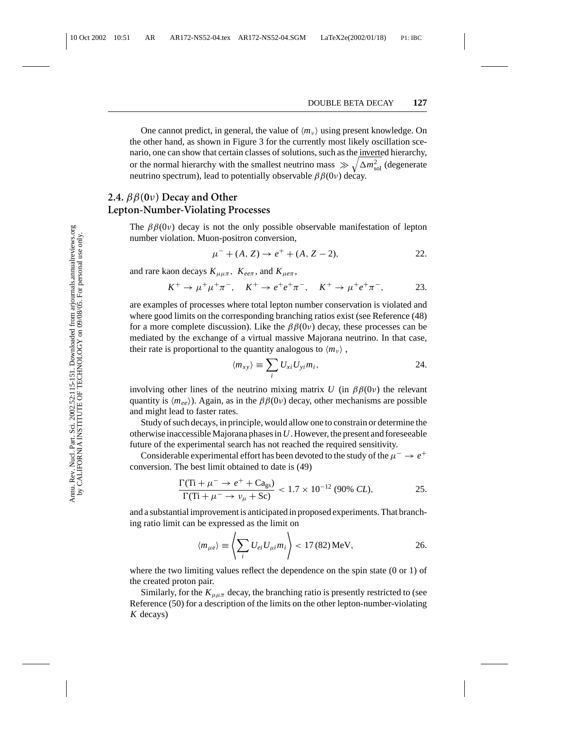One cannot predict, in general, the value of  $\langle m_{\nu} \rangle$  using present knowledge. On the other hand, as shown in Figure 3 for the currently most likely oscillation scenario, one can show that certain classes of solutions, such as the inverted hierarchy, or the normal hierarchy with the smallest neutrino mass  $\gg \sqrt{\Delta m_{\text{sol}}^2}$  (degenerate neutrino spectrum), lead to potentially observable  $\beta\beta(0\nu)$  decay.

## **2.4.** ββ**(0**ν**) Decay and Other Lepton-Number-Violating Processes**

The  $\beta\beta(0v)$  decay is not the only possible observable manifestation of lepton number violation. Muon-positron conversion,

$$
\mu^- + (A, Z) \to e^+ + (A, Z - 2), \tag{22}
$$

and rare kaon decays  $K_{\mu\mu\pi}$ ,  $K_{ee\pi}$ , and  $K_{\mu e\pi}$ ,

$$
K^+ \to \mu^+ \mu^+ \pi^-
$$
,  $K^+ \to e^+ e^+ \pi^-$ ,  $K^+ \to \mu^+ e^+ \pi^-$ , 23.

are examples of processes where total lepton number conservation is violated and where good limits on the corresponding branching ratios exist (see Reference (48) for a more complete discussion). Like the  $\beta\beta(0\nu)$  decay, these processes can be mediated by the exchange of a virtual massive Majorana neutrino. In that case, their rate is proportional to the quantity analogous to  $\langle m_v \rangle$ ,

$$
\langle m_{xy} \rangle \equiv \sum_i U_{xi} U_{yi} m_i, \qquad \qquad 24.
$$

involving other lines of the neutrino mixing matrix *U* (in  $\beta\beta(0\nu)$ ) the relevant quantity is  $\langle m_{ee} \rangle$ ). Again, as in the  $\beta \beta(0\nu)$  decay, other mechanisms are possible and might lead to faster rates.

Study of such decays, in principle, would allow one to constrain or determine the otherwise inaccessible Majorana phases in*U*. However, the present and foreseeable future of the experimental search has not reached the required sensitivity.

Considerable experimental effort has been devoted to the study of the  $\mu^- \to e^+$ conversion. The best limit obtained to date is (49)

$$
\frac{\Gamma(\text{Ti} + \mu^- \to e^+ + \text{Ca}_{\text{gs}})}{\Gamma(\text{Ti} + \mu^- \to \nu_\mu + \text{Sc})} < 1.7 \times 10^{-12} \text{ (90\% } CL),\tag{25.}
$$

and a substantial improvement is anticipated in proposed experiments. That branching ratio limit can be expressed as the limit on

$$
\langle m_{\mu e} \rangle \equiv \left\langle \sum_{i} U_{ei} U_{\mu i} m_{i} \right\rangle < 17 (82) \,\text{MeV}, \tag{26}
$$

where the two limiting values reflect the dependence on the spin state (0 or 1) of the created proton pair.

Similarly, for the  $K_{\mu\mu\pi}$  decay, the branching ratio is presently restricted to (see Reference (50) for a description of the limits on the other lepton-number-violating *K* decays)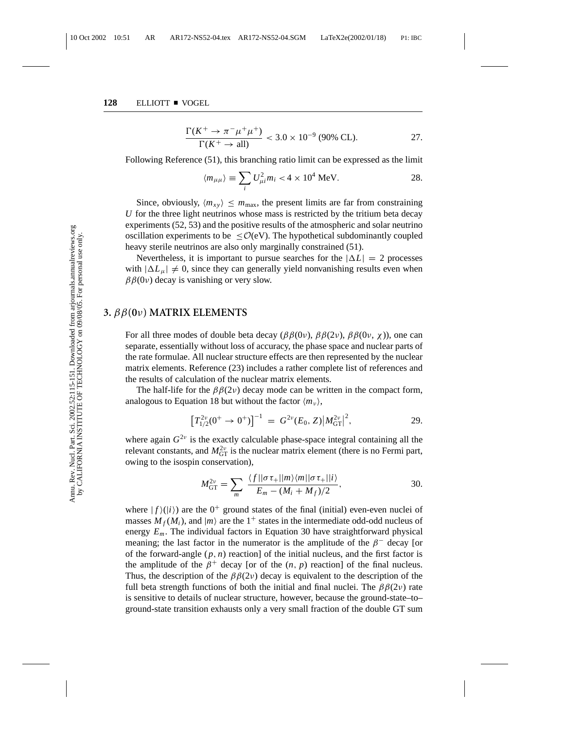$$
\frac{\Gamma(K^+ \to \pi^- \mu^+ \mu^+)}{\Gamma(K^+ \to \text{all})} < 3.0 \times 10^{-9} \text{ (90\% CL)}.
$$

Following Reference (51), this branching ratio limit can be expressed as the limit

$$
\langle m_{\mu\mu} \rangle \equiv \sum_i U_{\mu i}^2 m_i < 4 \times 10^4 \text{ MeV}.
$$

Since, obviously,  $\langle m_{xy} \rangle \leq m_{\text{max}}$ , the present limits are far from constraining *U* for the three light neutrinos whose mass is restricted by the tritium beta decay experiments (52, 53) and the positive results of the atmospheric and solar neutrino oscillation experiments to be  $\leq O(eV)$ . The hypothetical subdominantly coupled heavy sterile neutrinos are also only marginally constrained (51).

Nevertheless, it is important to pursue searches for the  $|\Delta L| = 2$  processes with  $|\Delta L_u| \neq 0$ , since they can generally yield nonvanishing results even when  $\beta\beta(0v)$  decay is vanishing or very slow.

#### **3.** ββ**(0**ν**) MATRIX ELEMENTS**

For all three modes of double beta decay ( $\beta\beta(0\nu)$ ,  $\beta\beta(2\nu)$ ,  $\beta\beta(0\nu, \chi)$ ), one can separate, essentially without loss of accuracy, the phase space and nuclear parts of the rate formulae. All nuclear structure effects are then represented by the nuclear matrix elements. Reference (23) includes a rather complete list of references and the results of calculation of the nuclear matrix elements.

The half-life for the  $\beta\beta(2\nu)$  decay mode can be written in the compact form, analogous to Equation 18 but without the factor  $\langle m_v \rangle$ ,

$$
\left[T_{1/2}^{2\nu}(0^+ \to 0^+)\right]^{-1} = G^{2\nu}(E_0, Z) \left|M_{\text{GT}}^{2\nu}\right|^2, \tag{29}
$$

where again  $G^{2\nu}$  is the exactly calculable phase-space integral containing all the relevant constants, and  $M_{GT}^{2\nu}$  is the nuclear matrix element (there is no Fermi part, owing to the isospin conservation),

$$
M_{\rm GT}^{2\nu} = \sum_{m} \frac{\langle f || \sigma \tau_{+} || m \rangle \langle m || \sigma \tau_{+} || i \rangle}{E_{m} - (M_{i} + M_{f})/2},
$$

where  $| f( |i \rangle )$  are the  $0^+$  ground states of the final (initial) even-even nuclei of masses  $M_f(M_i)$ , and  $|m\rangle$  are the 1<sup>+</sup> states in the intermediate odd-odd nucleus of energy  $E_m$ . The individual factors in Equation 30 have straightforward physical meaning; the last factor in the numerator is the amplitude of the  $\beta^-$  decay [or of the forward-angle  $(p, n)$  reaction of the initial nucleus, and the first factor is the amplitude of the  $\beta^+$  decay [or of the  $(n, p)$  reaction] of the final nucleus. Thus, the description of the  $\beta\beta(2\nu)$  decay is equivalent to the description of the full beta strength functions of both the initial and final nuclei. The  $\beta\beta(2\nu)$  rate is sensitive to details of nuclear structure, however, because the ground-state–to– ground-state transition exhausts only a very small fraction of the double GT sum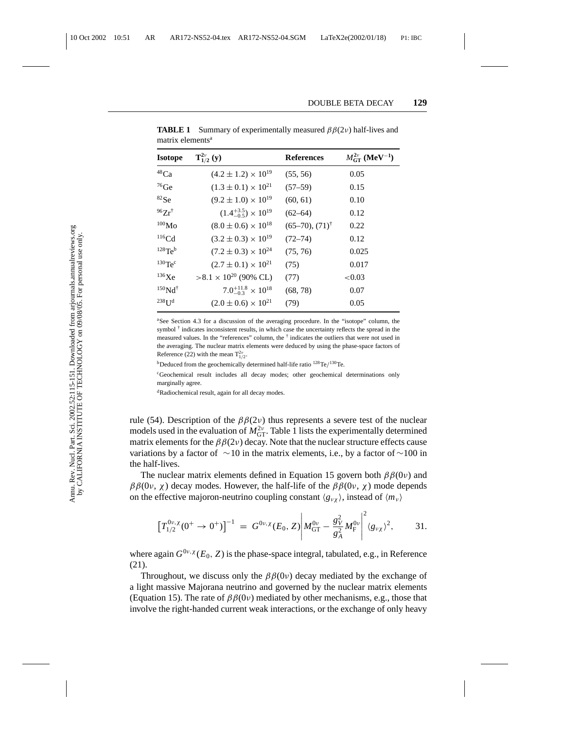| <b>Isotope</b>            | $T_{1/2}^{2\nu}(y)$                  | <b>References</b>               | $M_{\rm GT}^{2\nu}$ (MeV <sup>-1</sup> ) |
|---------------------------|--------------------------------------|---------------------------------|------------------------------------------|
| $48$ Ca                   | $(4.2 \pm 1.2) \times 10^{19}$       | (55, 56)                        | 0.05                                     |
| $76$ Ge                   | $(1.3 \pm 0.1) \times 10^{21}$       | $(57-59)$                       | 0.15                                     |
| ${}^{82}Se$               | $(9.2 \pm 1.0) \times 10^{19}$       | (60, 61)                        | 0.10                                     |
| $96Zr^{\dagger}$          | $(1.4^{+3.5}_{-0.5}) \times 10^{19}$ | $(62 - 64)$                     | 0.12                                     |
| $^{100}\rm{Mo}$           | $(8.0 \pm 0.6) \times 10^{18}$       | $(65-70)$ , $(71)$ <sup>†</sup> | 0.22                                     |
| $116$ Cd                  | $(3.2 \pm 0.3) \times 10^{19}$       | $(72 - 74)$                     | 0.12                                     |
| $128$ Te <sup>b</sup>     | $(7.2 \pm 0.3) \times 10^{24}$       | (75, 76)                        | 0.025                                    |
| $130$ Te <sup>c</sup>     | $(2.7 \pm 0.1) \times 10^{21}$       | (75)                            | 0.017                                    |
| $^{136}\text{Xe}$         | $>8.1 \times 10^{20}$ (90% CL)       | (77)                            | < 0.03                                   |
| $150$ Nd <sup>†</sup>     | $7.0^{+11.8}_{-0.3} \times 10^{18}$  | (68, 78)                        | 0.07                                     |
| 238 <b>U</b> <sup>d</sup> | $(2.0 \pm 0.6) \times 10^{21}$       | (79)                            | 0.05                                     |

**TABLE 1** Summary of experimentally measured  $\beta\beta(2\nu)$  half-lives and matrix elements<sup>a</sup>

aSee Section 4.3 for a discussion of the averaging procedure. In the "isotope" column, the symbol  $<sup>†</sup>$  indicates inconsistent results, in which case the uncertainty reflects the spread in the</sup> measured values. In the "references" column, the  $\dagger$  indicates the outliers that were not used in the averaging. The nuclear matrix elements were deduced by using the phase-space factors of Reference (22) with the mean  $T_{1/2}^{2\nu}$ .

bDeduced from the geochemically determined half-life ratio 128Te/130Te.

<sup>c</sup>Geochemical result includes all decay modes; other geochemical determinations only marginally agree.

<sup>d</sup>Radiochemical result, again for all decay modes.

rule (54). Description of the  $\beta\beta(2\nu)$  thus represents a severe test of the nuclear models used in the evaluation of  $M_{GT}^{2\nu}$ . Table 1 lists the experimentally determined matrix elements for the  $\beta\beta(2\nu)$  decay. Note that the nuclear structure effects cause variations by a factor of  $\sim$ 10 in the matrix elements, i.e., by a factor of  $\sim$ 100 in the half-lives.

The nuclear matrix elements defined in Equation 15 govern both  $\beta\beta(0v)$  and  $\beta\beta(0v, \chi)$  decay modes. However, the half-life of the  $\beta\beta(0v, \chi)$  mode depends on the effective majoron-neutrino coupling constant  $\langle g_{\nu\gamma} \rangle$ , instead of  $\langle m_{\nu} \rangle$ 

$$
\left[T_{1/2}^{0\nu,\chi}(0^+\to 0^+)\right]^{-1} = G^{0\nu,\chi}(E_0,Z) \left|M_{\text{GT}}^{0\nu} - \frac{g_V^2}{g_A^2}M_{\text{F}}^{0\nu}\right|^2 \langle g_{\nu\chi}\rangle^2, \quad 31.
$$

where again  $G^{0\nu,\chi}(E_0, Z)$  is the phase-space integral, tabulated, e.g., in Reference (21).

Throughout, we discuss only the  $\beta\beta(0\nu)$  decay mediated by the exchange of a light massive Majorana neutrino and governed by the nuclear matrix elements (Equation 15). The rate of  $\beta\beta(0v)$  mediated by other mechanisms, e.g., those that involve the right-handed current weak interactions, or the exchange of only heavy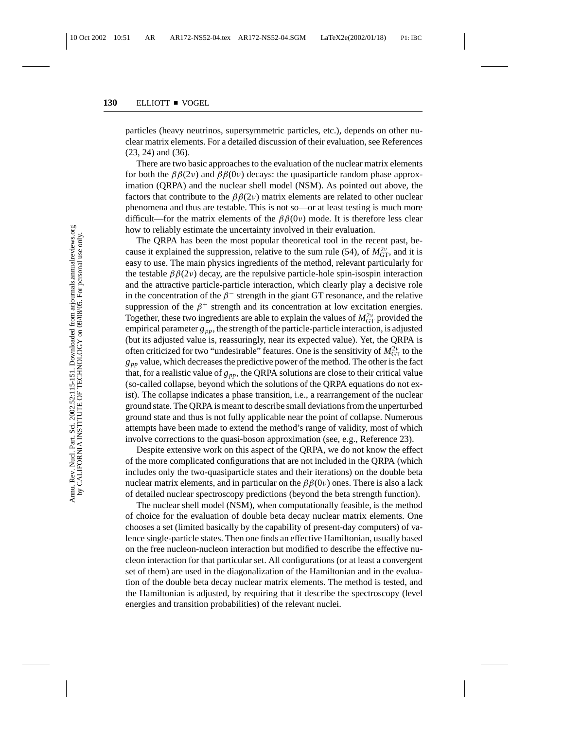particles (heavy neutrinos, supersymmetric particles, etc.), depends on other nuclear matrix elements. For a detailed discussion of their evaluation, see References (23, 24) and (36).

There are two basic approaches to the evaluation of the nuclear matrix elements for both the  $\beta\beta(2\nu)$  and  $\beta\beta(0\nu)$  decays: the quasiparticle random phase approximation (QRPA) and the nuclear shell model (NSM). As pointed out above, the factors that contribute to the  $\beta \beta(2\nu)$  matrix elements are related to other nuclear phenomena and thus are testable. This is not so—or at least testing is much more difficult—for the matrix elements of the  $\beta\beta(0\nu)$  mode. It is therefore less clear how to reliably estimate the uncertainty involved in their evaluation.

The QRPA has been the most popular theoretical tool in the recent past, because it explained the suppression, relative to the sum rule (54), of  $M_{\text{GT}}^{2\nu}$ , and it is easy to use. The main physics ingredients of the method, relevant particularly for the testable  $\beta\beta(2\nu)$  decay, are the repulsive particle-hole spin-isospin interaction and the attractive particle-particle interaction, which clearly play a decisive role in the concentration of the  $\beta^-$  strength in the giant GT resonance, and the relative suppression of the  $\beta^+$  strength and its concentration at low excitation energies. Together, these two ingredients are able to explain the values of  $M_{GT}^{2\nu}$  provided the empirical parameter  $g_{pp}$ , the strength of the particle-particle interaction, is adjusted (but its adjusted value is, reassuringly, near its expected value). Yet, the QRPA is often criticized for two "undesirable" features. One is the sensitivity of  $M_{\rm GT}^{2\nu}$  to the  $g_{pp}$  value, which decreases the predictive power of the method. The other is the fact that, for a realistic value of  $g_{pp}$ , the QRPA solutions are close to their critical value (so-called collapse, beyond which the solutions of the QRPA equations do not exist). The collapse indicates a phase transition, i.e., a rearrangement of the nuclear ground state. The QRPA is meant to describe small deviations from the unperturbed ground state and thus is not fully applicable near the point of collapse. Numerous attempts have been made to extend the method's range of validity, most of which involve corrections to the quasi-boson approximation (see, e.g., Reference 23).

Despite extensive work on this aspect of the QRPA, we do not know the effect of the more complicated configurations that are not included in the QRPA (which includes only the two-quasiparticle states and their iterations) on the double beta nuclear matrix elements, and in particular on the  $\beta\beta(0v)$  ones. There is also a lack of detailed nuclear spectroscopy predictions (beyond the beta strength function).

The nuclear shell model (NSM), when computationally feasible, is the method of choice for the evaluation of double beta decay nuclear matrix elements. One chooses a set (limited basically by the capability of present-day computers) of valence single-particle states. Then one finds an effective Hamiltonian, usually based on the free nucleon-nucleon interaction but modified to describe the effective nucleon interaction for that particular set. All configurations (or at least a convergent set of them) are used in the diagonalization of the Hamiltonian and in the evaluation of the double beta decay nuclear matrix elements. The method is tested, and the Hamiltonian is adjusted, by requiring that it describe the spectroscopy (level energies and transition probabilities) of the relevant nuclei.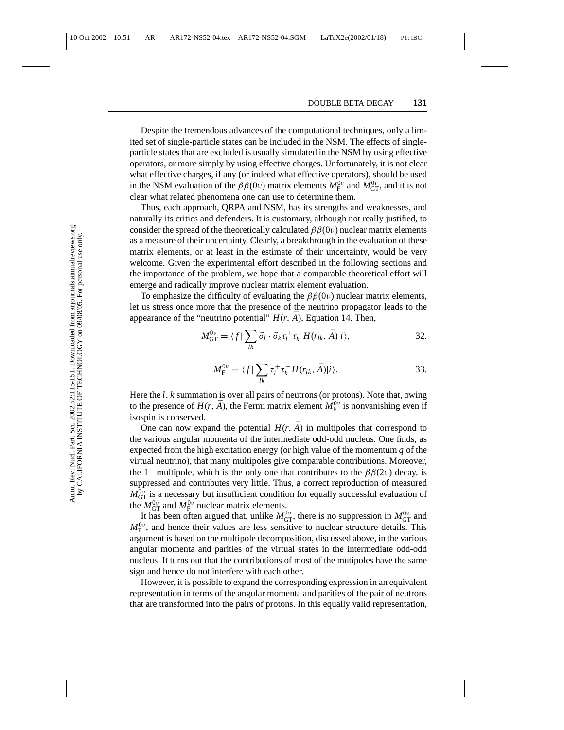Despite the tremendous advances of the computational techniques, only a limited set of single-particle states can be included in the NSM. The effects of singleparticle states that are excluded is usually simulated in the NSM by using effective operators, or more simply by using effective charges. Unfortunately, it is not clear what effective charges, if any (or indeed what effective operators), should be used in the NSM evaluation of the  $\beta\beta(0\nu)$  matrix elements  $M_F^{0\nu}$  and  $M_{GT}^{0\nu}$ , and it is not clear what related phenomena one can use to determine them.

Thus, each approach, QRPA and NSM, has its strengths and weaknesses, and naturally its critics and defenders. It is customary, although not really justified, to consider the spread of the theoretically calculated  $\beta\beta(0\nu)$  nuclear matrix elements as a measure of their uncertainty. Clearly, a breakthrough in the evaluation of these matrix elements, or at least in the estimate of their uncertainty, would be very welcome. Given the experimental effort described in the following sections and the importance of the problem, we hope that a comparable theoretical effort will emerge and radically improve nuclear matrix element evaluation.

To emphasize the difficulty of evaluating the  $\beta\beta(0\nu)$  nuclear matrix elements, let us stress once more that the presence of the neutrino propagator leads to the appearance of the "neutrino potential"  $H(r, \bar{A})$ , Equation 14. Then,

$$
M_{\text{GT}}^{0\nu} = \langle f | \sum_{lk} \vec{\sigma}_l \cdot \vec{\sigma}_k \tau_l^+ \tau_k^+ H(r_{lk}, \bar{A}) | i \rangle, \tag{32}
$$

$$
M_{\rm F}^{0\nu} = \langle f | \sum_{lk} \tau_l^+ \tau_k^+ H(r_{lk}, \bar{A}) | i \rangle.
$$
 33.

Here the *l*, *k* summation is over all pairs of neutrons (or protons). Note that, owing to the presence of  $H(r, \bar{A})$ , the Fermi matrix element  $M_{\rm F}^{0\nu}$  is nonvanishing even if isospin is conserved.

One can now expand the potential  $H(r, \bar{A})$  in multipoles that correspond to the various angular momenta of the intermediate odd-odd nucleus. One finds, as expected from the high excitation energy (or high value of the momentum *q* of the virtual neutrino), that many multipoles give comparable contributions. Moreover, the 1<sup>+</sup> multipole, which is the only one that contributes to the  $\beta\beta(2\nu)$  decay, is suppressed and contributes very little. Thus, a correct reproduction of measured  $M_{\text{GT}}^{2\nu}$  is a necessary but insufficient condition for equally successful evaluation of the  $M_{\text{GT}}^{0\nu}$  and  $M_{\text{F}}^{0\nu}$  nuclear matrix elements.

It has been often argued that, unlike  $M_{GT}^{2\nu}$ , there is no suppression in  $M_{GT}^{0\nu}$  and  $M_{\rm F}^{0\nu}$ , and hence their values are less sensitive to nuclear structure details. This argument is based on the multipole decomposition, discussed above, in the various angular momenta and parities of the virtual states in the intermediate odd-odd nucleus. It turns out that the contributions of most of the mutipoles have the same sign and hence do not interfere with each other.

However, it is possible to expand the corresponding expression in an equivalent representation in terms of the angular momenta and parities of the pair of neutrons that are transformed into the pairs of protons. In this equally valid representation,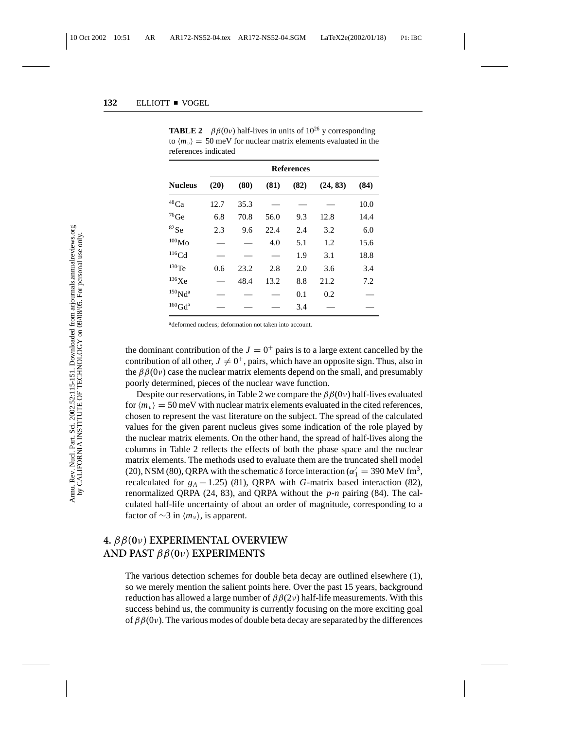|                                    | <b>References</b> |      |      |      |          |      |
|------------------------------------|-------------------|------|------|------|----------|------|
| <b>Nucleus</b>                     | (20)              | (80) | (81) | (82) | (24, 83) | (84) |
| $^{48}\mathrm{Ca}$                 | 12.7              | 35.3 |      |      |          | 10.0 |
| $76$ Ge                            | 6.8               | 70.8 | 56.0 | 9.3  | 12.8     | 14.4 |
| $^{82}\mathrm{Se}$                 | 2.3               | 9.6  | 22.4 | 2.4  | 3.2      | 6.0  |
| $^{100}\rm{Mo}$                    |                   |      | 4.0  | 5.1  | 1.2      | 15.6 |
| $116$ Cd                           |                   |      |      | 1.9  | 3.1      | 18.8 |
| $130$ Te                           | 0.6               | 23.2 | 2.8  | 2.0  | 3.6      | 3.4  |
| 136Xe                              |                   | 48.4 | 13.2 | 8.8  | 21.2     | 7.2  |
| $150$ Nd <sup>a</sup>              |                   |      |      | 0.1  | 0.2      |      |
| ${}^{160}\mathrm{Gd}^{\mathrm{a}}$ |                   |      |      | 3.4  |          |      |

**TABLE 2**  $\beta \beta(0\nu)$  half-lives in units of  $10^{26}$  y corresponding to  $\langle m_v \rangle$  = 50 meV for nuclear matrix elements evaluated in the references indicated

<sup>a</sup>deformed nucleus; deformation not taken into account.

the dominant contribution of the  $J = 0^+$  pairs is to a large extent cancelled by the contribution of all other,  $J \neq 0^+$ , pairs, which have an opposite sign. Thus, also in the  $\beta\beta(0v)$  case the nuclear matrix elements depend on the small, and presumably poorly determined, pieces of the nuclear wave function.

Despite our reservations, in Table 2 we compare the  $\beta\beta(0\nu)$  half-lives evaluated for  $\langle m_{v} \rangle = 50$  meV with nuclear matrix elements evaluated in the cited references, chosen to represent the vast literature on the subject. The spread of the calculated values for the given parent nucleus gives some indication of the role played by the nuclear matrix elements. On the other hand, the spread of half-lives along the columns in Table 2 reflects the effects of both the phase space and the nuclear matrix elements. The methods used to evaluate them are the truncated shell model (20), NSM (80), QRPA with the schematic  $\delta$  force interaction ( $\alpha'_1 = 390 \text{ MeV fm}^3$ , recalculated for  $g_A = 1.25$ ) (81), QRPA with *G*-matrix based interaction (82), renormalized QRPA (24, 83), and QRPA without the *p*-*n* pairing (84). The calculated half-life uncertainty of about an order of magnitude, corresponding to a factor of  $\sim$ 3 in  $\langle m_v \rangle$ , is apparent.

## **4.** ββ**(0**ν**) EXPERIMENTAL OVERVIEW AND PAST** ββ**(0**ν**) EXPERIMENTS**

The various detection schemes for double beta decay are outlined elsewhere (1), so we merely mention the salient points here. Over the past 15 years, background reduction has allowed a large number of  $\beta\beta(2\nu)$  half-life measurements. With this success behind us, the community is currently focusing on the more exciting goal of  $\beta\beta(0v)$ . The various modes of double beta decay are separated by the differences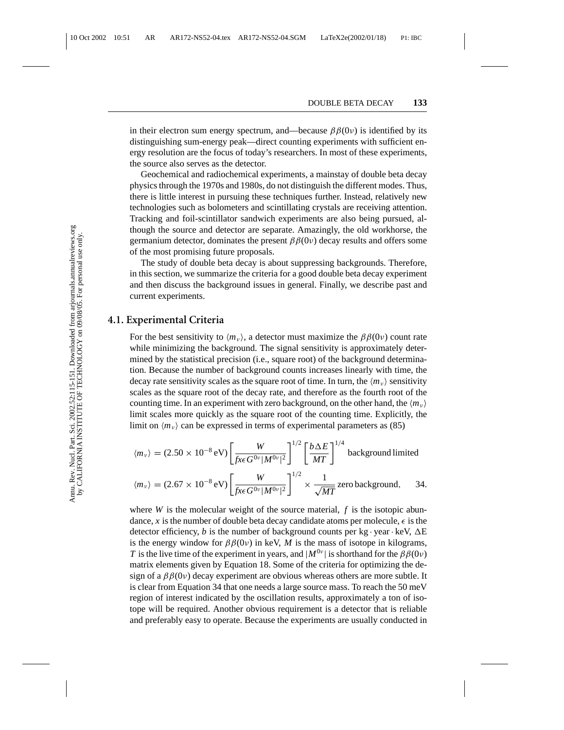in their electron sum energy spectrum, and—because  $\beta\beta(0\nu)$  is identified by its distinguishing sum-energy peak—direct counting experiments with sufficient energy resolution are the focus of today's researchers. In most of these experiments, the source also serves as the detector.

Geochemical and radiochemical experiments, a mainstay of double beta decay physics through the 1970s and 1980s, do not distinguish the different modes. Thus, there is little interest in pursuing these techniques further. Instead, relatively new technologies such as bolometers and scintillating crystals are receiving attention. Tracking and foil-scintillator sandwich experiments are also being pursued, although the source and detector are separate. Amazingly, the old workhorse, the germanium detector, dominates the present  $\beta\beta(0v)$  decay results and offers some of the most promising future proposals.

The study of double beta decay is about suppressing backgrounds. Therefore, in this section, we summarize the criteria for a good double beta decay experiment and then discuss the background issues in general. Finally, we describe past and current experiments.

#### **4.1. Experimental Criteria**

For the best sensitivity to  $\langle m_\nu \rangle$ , a detector must maximize the  $\beta \beta(0\nu)$  count rate while minimizing the background. The signal sensitivity is approximately determined by the statistical precision (i.e., square root) of the background determination. Because the number of background counts increases linearly with time, the decay rate sensitivity scales as the square root of time. In turn, the  $\langle m_{\nu} \rangle$  sensitivity scales as the square root of the decay rate, and therefore as the fourth root of the counting time. In an experiment with zero background, on the other hand, the  $\langle m_v \rangle$ limit scales more quickly as the square root of the counting time. Explicitly, the limit on  $\langle m_v \rangle$  can be expressed in terms of experimental parameters as (85)

$$
\langle m_{\nu} \rangle = (2.50 \times 10^{-8} \,\text{eV}) \left[ \frac{W}{\text{fxc} \, G^{0\nu} |M^{0\nu}|^2} \right]^{1/2} \left[ \frac{b \Delta E}{MT} \right]^{1/4} \text{ background limited}
$$

$$
\langle m_{\nu} \rangle = (2.67 \times 10^{-8} \,\text{eV}) \left[ \frac{W}{f x \epsilon G^{0\nu} |M^{0\nu}|^2} \right]^{1/2} \times \frac{1}{\sqrt{MT}} \text{ zero background,} \qquad 34.
$$

where *W* is the molecular weight of the source material,  $f$  is the isotopic abundance, x is the number of double beta decay candidate atoms per molecule,  $\epsilon$  is the detector efficiency, *b* is the number of background counts per kg  $\cdot$  year  $\cdot$  keV,  $\Delta E$ is the energy window for  $\beta\beta(0v)$  in keV, *M* is the mass of isotope in kilograms, *T* is the live time of the experiment in years, and  $|M^{0\nu}|$  is shorthand for the  $\beta\beta(0\nu)$ matrix elements given by Equation 18. Some of the criteria for optimizing the design of a  $\beta\beta(0v)$  decay experiment are obvious whereas others are more subtle. It is clear from Equation 34 that one needs a large source mass. To reach the 50 meV region of interest indicated by the oscillation results, approximately a ton of isotope will be required. Another obvious requirement is a detector that is reliable and preferably easy to operate. Because the experiments are usually conducted in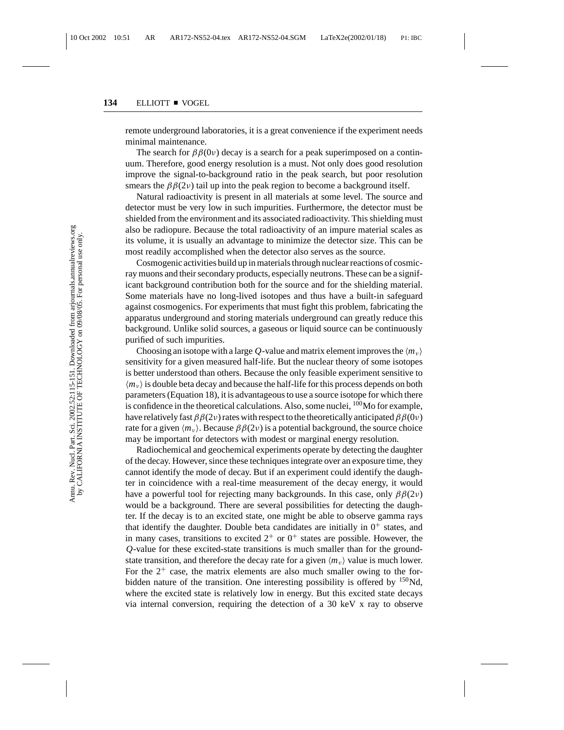remote underground laboratories, it is a great convenience if the experiment needs minimal maintenance.

The search for  $\beta\beta(0v)$  decay is a search for a peak superimposed on a continuum. Therefore, good energy resolution is a must. Not only does good resolution improve the signal-to-background ratio in the peak search, but poor resolution smears the  $\beta\beta(2\nu)$  tail up into the peak region to become a background itself.

Natural radioactivity is present in all materials at some level. The source and detector must be very low in such impurities. Furthermore, the detector must be shielded from the environment and its associated radioactivity. This shielding must also be radiopure. Because the total radioactivity of an impure material scales as its volume, it is usually an advantage to minimize the detector size. This can be most readily accomplished when the detector also serves as the source.

Cosmogenic activities build up in materials through nuclear reactions of cosmicray muons and their secondary products, especially neutrons. These can be a significant background contribution both for the source and for the shielding material. Some materials have no long-lived isotopes and thus have a built-in safeguard against cosmogenics. For experiments that must fight this problem, fabricating the apparatus underground and storing materials underground can greatly reduce this background. Unlike solid sources, a gaseous or liquid source can be continuously purified of such impurities.

Choosing an isotope with a large Q-value and matrix element improves the  $\langle m_{\nu} \rangle$ sensitivity for a given measured half-life. But the nuclear theory of some isotopes is better understood than others. Because the only feasible experiment sensitive to  $\langle m_{\nu} \rangle$  is double beta decay and because the half-life for this process depends on both parameters (Equation 18), it is advantageous to use a source isotope for which there is confidence in the theoretical calculations. Also, some nuclei,  $^{100}$ Mo for example, have relatively fast  $\beta\beta(2\nu)$  rates with respect to the theoretically anticipated  $\beta\beta(0\nu)$ rate for a given  $\langle m_v \rangle$ . Because  $\beta \beta(2v)$  is a potential background, the source choice may be important for detectors with modest or marginal energy resolution.

Radiochemical and geochemical experiments operate by detecting the daughter of the decay. However, since these techniques integrate over an exposure time, they cannot identify the mode of decay. But if an experiment could identify the daughter in coincidence with a real-time measurement of the decay energy, it would have a powerful tool for rejecting many backgrounds. In this case, only  $\beta\beta(2\nu)$ would be a background. There are several possibilities for detecting the daughter. If the decay is to an excited state, one might be able to observe gamma rays that identify the daughter. Double beta candidates are initially in  $0^+$  states, and in many cases, transitions to excited  $2^+$  or  $0^+$  states are possible. However, the *Q*-value for these excited-state transitions is much smaller than for the groundstate transition, and therefore the decay rate for a given  $\langle m_{\nu} \rangle$  value is much lower. For the  $2^+$  case, the matrix elements are also much smaller owing to the forbidden nature of the transition. One interesting possibility is offered by  $150$ Nd, where the excited state is relatively low in energy. But this excited state decays via internal conversion, requiring the detection of a 30 keV x ray to observe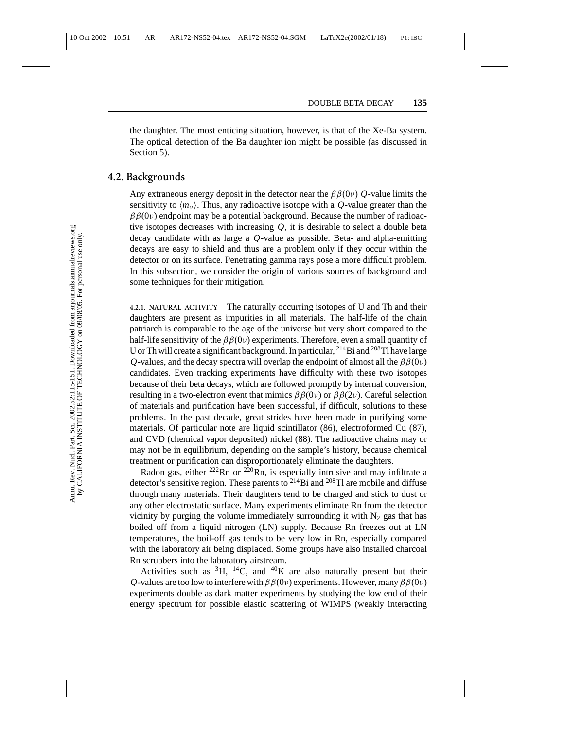the daughter. The most enticing situation, however, is that of the Xe-Ba system. The optical detection of the Ba daughter ion might be possible (as discussed in Section 5).

### **4.2. Backgrounds**

Any extraneous energy deposit in the detector near the  $\beta\beta(0\nu)$  *Q*-value limits the sensitivity to  $\langle m_v \rangle$ . Thus, any radioactive isotope with a *Q*-value greater than the  $\beta\beta(0v)$  endpoint may be a potential background. Because the number of radioactive isotopes decreases with increasing  $O$ , it is desirable to select a double beta decay candidate with as large a *Q*-value as possible. Beta- and alpha-emitting decays are easy to shield and thus are a problem only if they occur within the detector or on its surface. Penetrating gamma rays pose a more difficult problem. In this subsection, we consider the origin of various sources of background and some techniques for their mitigation.

**4.2.1. NATURAL ACTIVITY** The naturally occurring isotopes of U and Th and their daughters are present as impurities in all materials. The half-life of the chain patriarch is comparable to the age of the universe but very short compared to the half-life sensitivity of the  $\beta \beta(0\nu)$  experiments. Therefore, even a small quantity of U or Th will create a significant background. In particular,  $^{214}$ Bi and  $^{208}$ Tl have large *Q*-values, and the decay spectra will overlap the endpoint of almost all the  $\beta\beta(0\nu)$ candidates. Even tracking experiments have difficulty with these two isotopes because of their beta decays, which are followed promptly by internal conversion, resulting in a two-electron event that mimics  $\beta\beta(0\nu)$  or  $\beta\beta(2\nu)$ . Careful selection of materials and purification have been successful, if difficult, solutions to these problems. In the past decade, great strides have been made in purifying some materials. Of particular note are liquid scintillator (86), electroformed Cu (87), and CVD (chemical vapor deposited) nickel (88). The radioactive chains may or may not be in equilibrium, depending on the sample's history, because chemical treatment or purification can disproportionately eliminate the daughters.

Radon gas, either  $^{222}$ Rn or  $^{220}$ Rn, is especially intrusive and may infiltrate a detector's sensitive region. These parents to  $^{214}$ Bi and  $^{208}$ Tl are mobile and diffuse through many materials. Their daughters tend to be charged and stick to dust or any other electrostatic surface. Many experiments eliminate Rn from the detector vicinity by purging the volume immediately surrounding it with  $N_2$  gas that has boiled off from a liquid nitrogen (LN) supply. Because Rn freezes out at LN temperatures, the boil-off gas tends to be very low in Rn, especially compared with the laboratory air being displaced. Some groups have also installed charcoal Rn scrubbers into the laboratory airstream.

Activities such as  ${}^{3}H$ ,  ${}^{14}C$ , and  ${}^{40}K$  are also naturally present but their *Q*-values are too low to interfere with  $\beta\beta(0\nu)$  experiments. However, many  $\beta\beta(0\nu)$ experiments double as dark matter experiments by studying the low end of their energy spectrum for possible elastic scattering of WIMPS (weakly interacting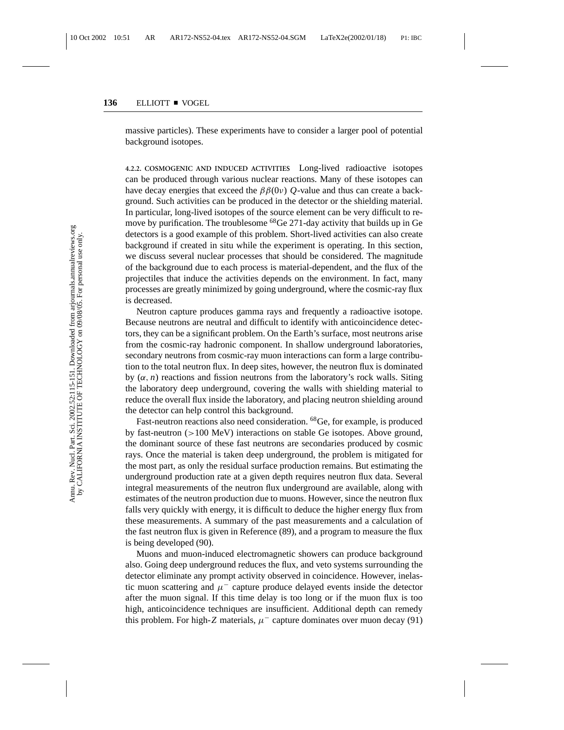massive particles). These experiments have to consider a larger pool of potential background isotopes.

**4.2.2. COSMOGENIC AND INDUCED ACTIVITIES** Long-lived radioactive isotopes can be produced through various nuclear reactions. Many of these isotopes can have decay energies that exceed the  $\beta\beta(0\nu)$  *Q*-value and thus can create a background. Such activities can be produced in the detector or the shielding material. In particular, long-lived isotopes of the source element can be very difficult to remove by purification. The troublesome  $^{68}$ Ge 271-day activity that builds up in Ge detectors is a good example of this problem. Short-lived activities can also create background if created in situ while the experiment is operating. In this section, we discuss several nuclear processes that should be considered. The magnitude of the background due to each process is material-dependent, and the flux of the projectiles that induce the activities depends on the environment. In fact, many processes are greatly minimized by going underground, where the cosmic-ray flux is decreased.

Neutron capture produces gamma rays and frequently a radioactive isotope. Because neutrons are neutral and difficult to identify with anticoincidence detectors, they can be a significant problem. On the Earth's surface, most neutrons arise from the cosmic-ray hadronic component. In shallow underground laboratories, secondary neutrons from cosmic-ray muon interactions can form a large contribution to the total neutron flux. In deep sites, however, the neutron flux is dominated by  $(\alpha, n)$  reactions and fission neutrons from the laboratory's rock walls. Siting the laboratory deep underground, covering the walls with shielding material to reduce the overall flux inside the laboratory, and placing neutron shielding around the detector can help control this background.

Fast-neutron reactions also need consideration. <sup>68</sup>Ge, for example, is produced by fast-neutron (>100 MeV) interactions on stable Ge isotopes. Above ground, the dominant source of these fast neutrons are secondaries produced by cosmic rays. Once the material is taken deep underground, the problem is mitigated for the most part, as only the residual surface production remains. But estimating the underground production rate at a given depth requires neutron flux data. Several integral measurements of the neutron flux underground are available, along with estimates of the neutron production due to muons. However, since the neutron flux falls very quickly with energy, it is difficult to deduce the higher energy flux from these measurements. A summary of the past measurements and a calculation of the fast neutron flux is given in Reference (89), and a program to measure the flux is being developed (90).

Muons and muon-induced electromagnetic showers can produce background also. Going deep underground reduces the flux, and veto systems surrounding the detector eliminate any prompt activity observed in coincidence. However, inelastic muon scattering and  $\mu^-$  capture produce delayed events inside the detector after the muon signal. If this time delay is too long or if the muon flux is too high, anticoincidence techniques are insufficient. Additional depth can remedy this problem. For high-*Z* materials,  $\mu^-$  capture dominates over muon decay (91)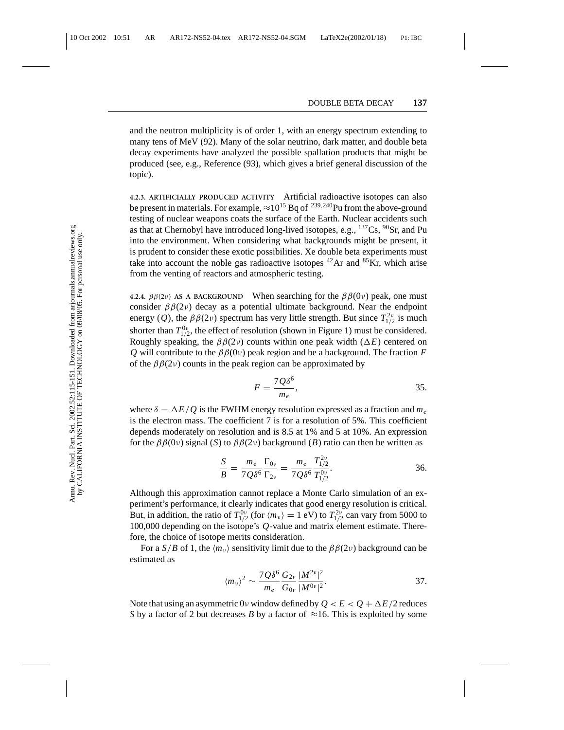and the neutron multiplicity is of order 1, with an energy spectrum extending to many tens of MeV (92). Many of the solar neutrino, dark matter, and double beta decay experiments have analyzed the possible spallation products that might be produced (see, e.g., Reference (93), which gives a brief general discussion of the topic).

**4.2.3. ARTIFICIALLY PRODUCED ACTIVITY** Artificial radioactive isotopes can also be present in materials. For example,  $\approx 10^{15}$  Bq of <sup>239,240</sup>Pu from the above-ground testing of nuclear weapons coats the surface of the Earth. Nuclear accidents such as that at Chernobyl have introduced long-lived isotopes, e.g.,  $^{137}Cs$ ,  $^{90}Sr$ , and Pu into the environment. When considering what backgrounds might be present, it is prudent to consider these exotic possibilities. Xe double beta experiments must take into account the noble gas radioactive isotopes  $^{42}$ Ar and  $^{85}$ Kr, which arise from the venting of reactors and atmospheric testing.

**4.2.4.**  $\beta\beta(2\nu)$  AS A BACKGROUND When searching for the  $\beta\beta(0\nu)$  peak, one must consider  $\beta\beta(2\nu)$  decay as a potential ultimate background. Near the endpoint energy (*Q*), the  $\beta\beta(2\nu)$  spectrum has very little strength. But since  $T_{1/2}^{2\nu}$  is much shorter than  $T_{1/2}^{0\nu}$ , the effect of resolution (shown in Figure 1) must be considered. Roughly speaking, the  $\beta\beta(2\nu)$  counts within one peak width ( $\Delta E$ ) centered on *Q* will contribute to the  $\beta\beta(0\nu)$  peak region and be a background. The fraction *F* of the  $\beta\beta(2\nu)$  counts in the peak region can be approximated by

$$
F = \frac{7Q\delta^6}{m_e},\tag{35}
$$

where  $\delta = \Delta E/Q$  is the FWHM energy resolution expressed as a fraction and  $m_e$ is the electron mass. The coefficient 7 is for a resolution of 5%. This coefficient depends moderately on resolution and is 8.5 at 1% and 5 at 10%. An expression for the  $\beta\beta(0v)$  signal (*S*) to  $\beta\beta(2v)$  background (*B*) ratio can then be written as

$$
\frac{S}{B} = \frac{m_e}{7Q\delta^6} \frac{\Gamma_{0\nu}}{\Gamma_{2\nu}} = \frac{m_e}{7Q\delta^6} \frac{T_{1/2}^{2\nu}}{T_{1/2}^{0\nu}}.
$$
 36.

Although this approximation cannot replace a Monte Carlo simulation of an experiment's performance, it clearly indicates that good energy resolution is critical. But, in addition, the ratio of  $T_{1/2}^{0\nu}$  (for  $\langle m_{\nu} \rangle = 1$  eV) to  $T_{1/2}^{2\nu}$  can vary from 5000 to 100,000 depending on the isotope's *Q*-value and matrix element estimate. Therefore, the choice of isotope merits consideration.

For a *S*/*B* of 1, the  $\langle m_v \rangle$  sensitivity limit due to the  $\beta \beta(2v)$  background can be estimated as

$$
\langle m_{\nu} \rangle^{2} \sim \frac{7 Q \delta^{6}}{m_{e}} \frac{G_{2\nu}}{G_{0\nu}} \frac{|M^{2\nu}|^{2}}{|M^{0\nu}|^{2}}.
$$
 37.

Note that using an asymmetric 0*v* window defined by  $Q < E < Q + \Delta E/2$  reduces *S* by a factor of 2 but decreases *B* by a factor of  $\approx$ 16. This is exploited by some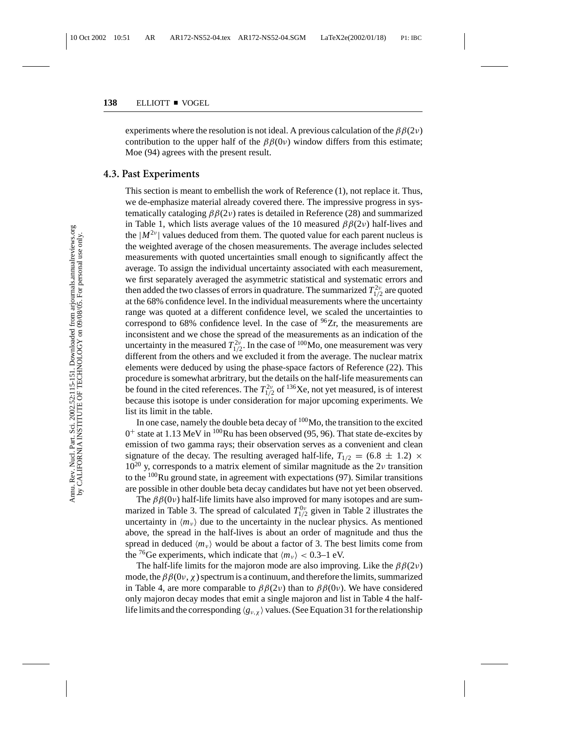experiments where the resolution is not ideal. A previous calculation of the  $\beta\beta(2\nu)$ contribution to the upper half of the  $\beta\beta(0\nu)$  window differs from this estimate; Moe (94) agrees with the present result.

#### **4.3. Past Experiments**

This section is meant to embellish the work of Reference (1), not replace it. Thus, we de-emphasize material already covered there. The impressive progress in systematically cataloging  $\beta \beta(2\nu)$  rates is detailed in Reference (28) and summarized in Table 1, which lists average values of the 10 measured  $\beta\beta(2\nu)$  half-lives and the  $|M^{2\nu}|$  values deduced from them. The quoted value for each parent nucleus is the weighted average of the chosen measurements. The average includes selected measurements with quoted uncertainties small enough to significantly affect the average. To assign the individual uncertainty associated with each measurement, we first separately averaged the asymmetric statistical and systematic errors and then added the two classes of errors in quadrature. The summarized  $T^{2\nu}_{1/2}$  are quoted at the 68% confidence level. In the individual measurements where the uncertainty range was quoted at a different confidence level, we scaled the uncertainties to correspond to 68% confidence level. In the case of  $96Zr$ , the measurements are inconsistent and we chose the spread of the measurements as an indication of the uncertainty in the measured  $T_{1/2}^{2\nu}$ . In the case of <sup>100</sup>Mo, one measurement was very different from the others and we excluded it from the average. The nuclear matrix elements were deduced by using the phase-space factors of Reference (22). This procedure is somewhat arbritrary, but the details on the half-life measurements can be found in the cited references. The  $T_{1/2}^{2\nu}$  of <sup>136</sup>Xe, not yet measured, is of interest because this isotope is under consideration for major upcoming experiments. We list its limit in the table.

In one case, namely the double beta decay of  $100$ Mo, the transition to the excited  $0^+$  state at 1.13 MeV in  $^{100}$ Ru has been observed (95, 96). That state de-excites by emission of two gamma rays; their observation serves as a convenient and clean signature of the decay. The resulting averaged half-life,  $T_{1/2} = (6.8 \pm 1.2) \times$  $10^{20}$  y, corresponds to a matrix element of similar magnitude as the 2v transition to the <sup>100</sup>Ru ground state, in agreement with expectations (97). Similar transitions are possible in other double beta decay candidates but have not yet been observed.

The  $\beta\beta(0v)$  half-life limits have also improved for many isotopes and are summarized in Table 3. The spread of calculated  $T_{1/2}^{0\nu}$  given in Table 2 illustrates the uncertainty in  $\langle m_{\nu} \rangle$  due to the uncertainty in the nuclear physics. As mentioned above, the spread in the half-lives is about an order of magnitude and thus the spread in deduced  $\langle m_{\nu} \rangle$  would be about a factor of 3. The best limits come from the <sup>76</sup>Ge experiments, which indicate that  $\langle m_{\nu} \rangle$  < 0.3–1 eV.

The half-life limits for the majoron mode are also improving. Like the  $\beta\beta(2\nu)$ mode, the  $\beta\beta(0v, \chi)$  spectrum is a continuum, and therefore the limits, summarized in Table 4, are more comparable to  $\beta\beta(2\nu)$  than to  $\beta\beta(0\nu)$ . We have considered only majoron decay modes that emit a single majoron and list in Table 4 the halflife limits and the corresponding  $\langle g_{\nu,\chi} \rangle$  values. (See Equation 31 for the relationship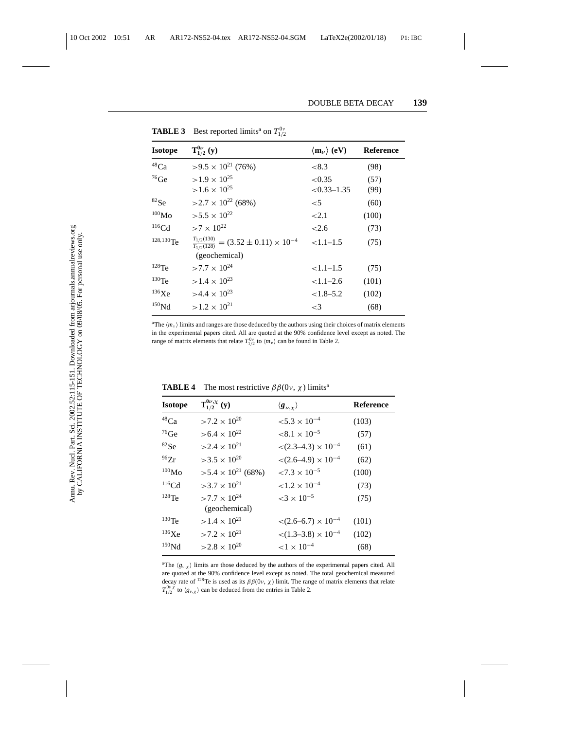| <b>Isotope</b>  | $T_{1/2}^{0\nu}(y)$                                                                   | $\langle m_{\nu} \rangle$ (eV) | <b>Reference</b> |
|-----------------|---------------------------------------------------------------------------------------|--------------------------------|------------------|
| $^{48}Ca$       | $>9.5\times10^{21}$ (76%)                                                             | ${<}8.3$                       | (98)             |
| $^{76}$ Ge      | $>1.9 \times 10^{25}$<br>$>1.6 \times 10^{25}$                                        | ${<}0.35$<br>$<0.33-1.35$      | (57)<br>(99)     |
| ${}^{82}Se$     | $>2.7\times10^{22}$ (68%)                                                             | $<$ 5                          | (60)             |
| $^{100}\rm{Mo}$ | $>5.5 \times 10^{22}$                                                                 | ${<}2.1$                       | (100)            |
| $116$ Cd        | $>7 \times 10^{22}$                                                                   | < 2.6                          | (73)             |
| $128,130$ Te    | $\frac{T_{1/2}(130)}{T_{1/2}(128)} = (3.52 \pm 0.11) \times 10^{-4}$<br>(geochemical) | $<1.1-1.5$                     | (75)             |
| $128$ Te        | $>7.7 \times 10^{24}$                                                                 | $<1.1-1.5$                     | (75)             |
| $^{130}$ Te     | $>1.4 \times 10^{23}$                                                                 | $< 1.1 - 2.6$                  | (101)            |
| 136Xe           | $>4.4 \times 10^{23}$                                                                 | $< 1.8 - 5.2$                  | (102)            |
| $^{150}\rm{Nd}$ | $>1.2 \times 10^{21}$                                                                 | $\leq$ 3                       | (68)             |

**TABLE 3** Best reported limits<sup>a</sup> on  $T_{1/2}^{0\nu}$ 

<sup>a</sup>The  $\langle m_v \rangle$  limits and ranges are those deduced by the authors using their choices of matrix elements in the experimental papers cited. All are quoted at the 90% confidence level except as noted. The range of matrix elements that relate  $T_{1/2}^{0\nu}$  to  $\langle m_{\nu} \rangle$  can be found in Table 2.

| <b>Isotope</b>     | $T_{1/2}^{0\nu,\chi}(y)$               | $\langle g_{\nu,\chi} \rangle$             | <b>Reference</b> |
|--------------------|----------------------------------------|--------------------------------------------|------------------|
| $^{48}\mathrm{Ca}$ | $>7.2 \times 10^{20}$                  | $< 5.3 \times 10^{-4}$                     | (103)            |
| $^{76}\mathrm{Ge}$ | $> 6.4 \times 10^{22}$                 | $< 8.1 \times 10^{-5}$                     | (57)             |
| ${}^{82}Se$        | $>2.4\times10^{21}$                    | $\langle (2.3-4.3) \times 10^{-4} \rangle$ | (61)             |
| 96Zr               | $>3.5\times10^{20}$                    | $\langle (2.6-4.9) \times 10^{-4} \rangle$ | (62)             |
| $^{100}\rm{Mo}$    | $>5.4\times10^{21}$ (68%)              | $< 7.3 \times 10^{-5}$                     | (100)            |
| $116$ Cd           | $>3.7\times10^{21}$                    | $< 1.2 \times 10^{-4}$                     | (73)             |
| $128$ Te           | $>7.7 \times 10^{24}$<br>(geochemical) | ${<}3 \times 10^{-5}$                      | (75)             |
| $130$ Te           | $>1.4\times10^{21}$                    | $\langle 2.6 - 6.7 \rangle \times 10^{-4}$ | (101)            |
| 136Xe              | $>7.2 \times 10^{21}$                  | $\langle (1.3-3.8) \times 10^{-4} \rangle$ | (102)            |
| 150 <sub>Nd</sub>  | $>2.8 \times 10^{20}$                  | ${1 \times 10^{-4}}$                       | (68)             |

**TABLE 4** The most restrictive  $\beta \beta(0v, \chi)$  limits<sup>a</sup>

<sup>a</sup>The  $\langle g_{\nu,\chi} \rangle$  limits are those deduced by the authors of the experimental papers cited. All are quoted at the 90% confidence level except as noted. The total geochemical measured decay rate of <sup>128</sup>Te is used as its  $\beta\beta(0v, \chi)$  limit. The range of matrix elements that relate  $T_{1/2}^{0\nu\chi}$  to  $\langle g_{\nu,\chi} \rangle$  can be deduced from the entries in Table 2.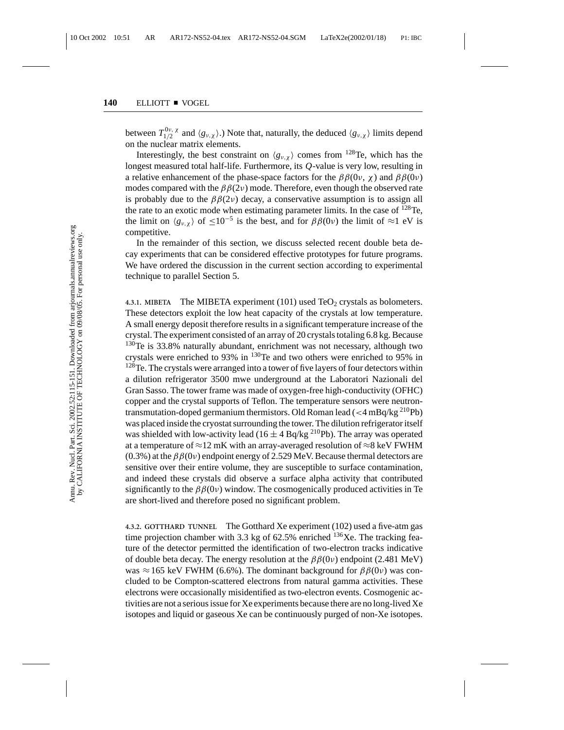between  $T_{1/2}^{0\nu, \chi}$  and  $\langle g_{\nu,\chi} \rangle$ .) Note that, naturally, the deduced  $\langle g_{\nu,\chi} \rangle$  limits depend on the nuclear matrix elements.

Interestingly, the best constraint on  $\langle g_{v,x} \rangle$  comes from <sup>128</sup>Te, which has the longest measured total half-life. Furthermore, its *Q*-value is very low, resulting in a relative enhancement of the phase-space factors for the  $\beta\beta(0v, \chi)$  and  $\beta\beta(0v)$ modes compared with the  $\beta\beta(2\nu)$  mode. Therefore, even though the observed rate is probably due to the  $\beta\beta(2\nu)$  decay, a conservative assumption is to assign all the rate to an exotic mode when estimating parameter limits. In the case of <sup>128</sup>Te, the limit on  $\langle g_{\nu,\chi} \rangle$  of  $\leq 10^{-5}$  is the best, and for  $\beta\beta(0\nu)$  the limit of ≈1 eV is competitive.

In the remainder of this section, we discuss selected recent double beta decay experiments that can be considered effective prototypes for future programs. We have ordered the discussion in the current section according to experimental technique to parallel Section 5.

**4.3.1. MIBETA** The MIBETA experiment  $(101)$  used TeO<sub>2</sub> crystals as bolometers. These detectors exploit the low heat capacity of the crystals at low temperature. A small energy deposit therefore results in a significant temperature increase of the crystal. The experiment consisted of an array of 20 crystals totaling 6.8 kg. Because <sup>130</sup>Te is 33.8% naturally abundant, enrichment was not necessary, although two crystals were enriched to 93% in 130Te and two others were enriched to 95% in <sup>128</sup>Te. The crystals were arranged into a tower of five layers of four detectors within a dilution refrigerator 3500 mwe underground at the Laboratori Nazionali del Gran Sasso. The tower frame was made of oxygen-free high-conductivity (OFHC) copper and the crystal supports of Teflon. The temperature sensors were neutrontransmutation-doped germanium thermistors. Old Roman lead ( $<$ 4 mBq/kg<sup>210</sup>Pb) was placed inside the cryostat surrounding the tower. The dilution refrigerator itself was shielded with low-activity lead (16  $\pm$  4 Bq/kg <sup>210</sup>Pb). The array was operated at a temperature of  $\approx$ 12 mK with an array-averaged resolution of  $\approx$ 8 keV FWHM (0.3%) at the  $\beta\beta(0v)$  endpoint energy of 2.529 MeV. Because thermal detectors are sensitive over their entire volume, they are susceptible to surface contamination, and indeed these crystals did observe a surface alpha activity that contributed significantly to the  $\beta\beta(0v)$  window. The cosmogenically produced activities in Te are short-lived and therefore posed no significant problem.

**4.3.2. GOTTHARD TUNNEL** The Gotthard Xe experiment (102) used a five-atm gas time projection chamber with 3.3 kg of  $62.5\%$  enriched  $136Xe$ . The tracking feature of the detector permitted the identification of two-electron tracks indicative of double beta decay. The energy resolution at the  $\beta\beta(0\nu)$  endpoint (2.481 MeV) was  $\approx$ 165 keV FWHM (6.6%). The dominant background for  $\beta\beta(0\nu)$  was concluded to be Compton-scattered electrons from natural gamma activities. These electrons were occasionally misidentified as two-electron events. Cosmogenic activities are not a serious issue for Xe experiments because there are no long-lived Xe isotopes and liquid or gaseous Xe can be continuously purged of non-Xe isotopes.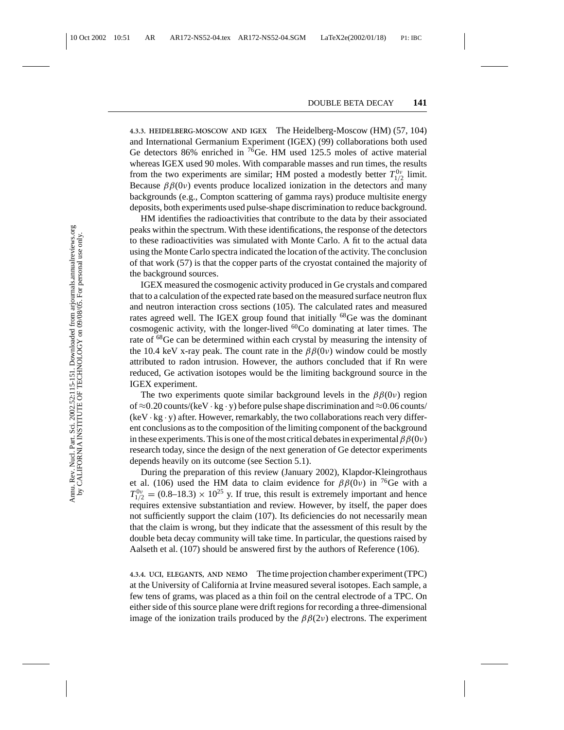**4.3.3. HEIDELBERG-MOSCOW AND IGEX** The Heidelberg-Moscow (HM) (57, 104) and International Germanium Experiment (IGEX) (99) collaborations both used Ge detectors 86% enriched in 76Ge. HM used 125.5 moles of active material whereas IGEX used 90 moles. With comparable masses and run times, the results from the two experiments are similar; HM posted a modestly better  $T_{1/2}^{0\nu}$  limit. Because  $\beta\beta(0v)$  events produce localized ionization in the detectors and many backgrounds (e.g., Compton scattering of gamma rays) produce multisite energy deposits, both experiments used pulse-shape discrimination to reduce background.

HM identifies the radioactivities that contribute to the data by their associated peaks within the spectrum. With these identifications, the response of the detectors to these radioactivities was simulated with Monte Carlo. A fit to the actual data using the Monte Carlo spectra indicated the location of the activity. The conclusion of that work (57) is that the copper parts of the cryostat contained the majority of the background sources.

IGEX measured the cosmogenic activity produced in Ge crystals and compared that to a calculation of the expected rate based on the measured surface neutron flux and neutron interaction cross sections (105). The calculated rates and measured rates agreed well. The IGEX group found that initially <sup>68</sup>Ge was the dominant cosmogenic activity, with the longer-lived  ${}^{60}Co$  dominating at later times. The rate of <sup>68</sup>Ge can be determined within each crystal by measuring the intensity of the 10.4 keV x-ray peak. The count rate in the  $\beta\beta(0\nu)$  window could be mostly attributed to radon intrusion. However, the authors concluded that if Rn were reduced, Ge activation isotopes would be the limiting background source in the IGEX experiment.

The two experiments quote similar background levels in the  $\beta\beta(0\nu)$  region of ≈0.20 counts/(keV · kg · y) before pulse shape discrimination and ≈0.06 counts/  $(keV \cdot kg \cdot y)$  after. However, remarkably, the two collaborations reach very different conclusions as to the composition of the limiting component of the background in these experiments. This is one of the most critical debates in experimental  $\beta\beta(0\nu)$ research today, since the design of the next generation of Ge detector experiments depends heavily on its outcome (see Section 5.1).

During the preparation of this review (January 2002), Klapdor-Kleingrothaus et al. (106) used the HM data to claim evidence for  $\beta\beta(0\nu)$  in <sup>76</sup>Ge with a  $T_{1/2}^{0\nu} = (0.8-18.3) \times 10^{25}$  y. If true, this result is extremely important and hence requires extensive substantiation and review. However, by itself, the paper does not sufficiently support the claim (107). Its deficiencies do not necessarily mean that the claim is wrong, but they indicate that the assessment of this result by the double beta decay community will take time. In particular, the questions raised by Aalseth et al. (107) should be answered first by the authors of Reference (106).

**4.3.4. UCI, ELEGANTS, AND NEMO** The time projection chamber experiment (TPC) at the University of California at Irvine measured several isotopes. Each sample, a few tens of grams, was placed as a thin foil on the central electrode of a TPC. On either side of this source plane were drift regions for recording a three-dimensional image of the ionization trails produced by the  $\beta\beta(2\nu)$  electrons. The experiment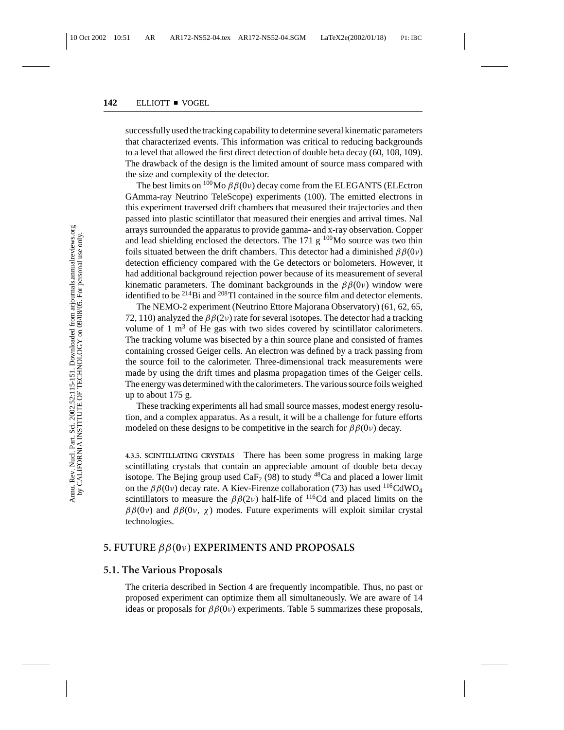successfully used the tracking capability to determine several kinematic parameters that characterized events. This information was critical to reducing backgrounds to a level that allowed the first direct detection of double beta decay (60, 108, 109). The drawback of the design is the limited amount of source mass compared with the size and complexity of the detector.

The best limits on  $100$ Mo  $\beta\beta(0\nu)$  decay come from the ELEGANTS (ELEctron GAmma-ray Neutrino TeleScope) experiments (100). The emitted electrons in this experiment traversed drift chambers that measured their trajectories and then passed into plastic scintillator that measured their energies and arrival times. NaI arrays surrounded the apparatus to provide gamma- and x-ray observation. Copper and lead shielding enclosed the detectors. The  $171 g$  <sup>100</sup>Mo source was two thin foils situated between the drift chambers. This detector had a diminished  $\beta \beta(0\nu)$ detection efficiency compared with the Ge detectors or bolometers. However, it had additional background rejection power because of its measurement of several kinematic parameters. The dominant backgrounds in the  $\beta\beta(0\nu)$  window were identified to be  $^{214}$ Bi and  $^{208}$ Tl contained in the source film and detector elements.

The NEMO-2 experiment (Neutrino Ettore Majorana Observatory) (61, 62, 65, 72, 110) analyzed the  $\beta\beta(2\nu)$  rate for several isotopes. The detector had a tracking volume of  $1 \text{ m}^3$  of He gas with two sides covered by scintillator calorimeters. The tracking volume was bisected by a thin source plane and consisted of frames containing crossed Geiger cells. An electron was defined by a track passing from the source foil to the calorimeter. Three-dimensional track measurements were made by using the drift times and plasma propagation times of the Geiger cells. The energy was determined with the calorimeters. The various source foils weighed up to about 175 g.

These tracking experiments all had small source masses, modest energy resolution, and a complex apparatus. As a result, it will be a challenge for future efforts modeled on these designs to be competitive in the search for  $\beta\beta(0\nu)$  decay.

**4.3.5. SCINTILLATING CRYSTALS** There has been some progress in making large scintillating crystals that contain an appreciable amount of double beta decay isotope. The Bejing group used  $CaF<sub>2</sub>$  (98) to study <sup>48</sup>Ca and placed a lower limit on the  $\beta\beta(0v)$  decay rate. A Kiev-Firenze collaboration (73) has used <sup>116</sup>CdWO<sub>4</sub> scintillators to measure the  $\beta\beta(2\nu)$  half-life of <sup>116</sup>Cd and placed limits on the  $\beta\beta(0v)$  and  $\beta\beta(0v, \chi)$  modes. Future experiments will exploit similar crystal technologies.

## **5. FUTURE** ββ**(0**ν**) EXPERIMENTS AND PROPOSALS**

#### **5.1. The Various Proposals**

The criteria described in Section 4 are frequently incompatible. Thus, no past or proposed experiment can optimize them all simultaneously. We are aware of 14 ideas or proposals for  $\beta\beta(0v)$  experiments. Table 5 summarizes these proposals,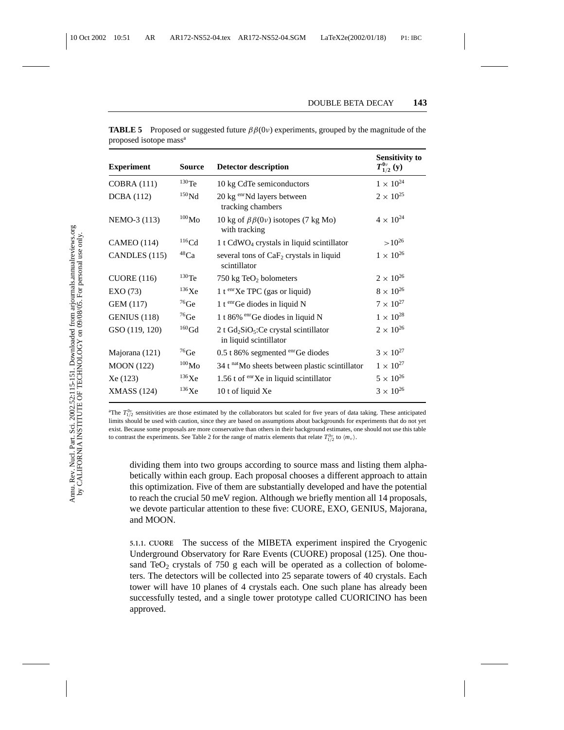| <b>Experiment</b>   | <b>Source</b>       | <b>Detector description</b>                                         | <b>Sensitivity to</b><br>$T_{1/2}^{0\nu}(y)$ |
|---------------------|---------------------|---------------------------------------------------------------------|----------------------------------------------|
| <b>COBRA (111)</b>  | $130$ Te            | 10 kg CdTe semiconductors                                           | $1 \times 10^{24}$                           |
| <b>DCBA</b> (112)   | $^{150}\rm{Nd}$     | 20 kg enrNd layers between<br>tracking chambers                     | $2 \times 10^{25}$                           |
| NEMO-3 (113)        | $^{100}\rm{Mo}$     | 10 kg of $\beta\beta(0v)$ isotopes (7 kg Mo)<br>with tracking       | $4 \times 10^{24}$                           |
| <b>CAMEO</b> (114)  | $^{116}$ Cd         | 1 t $CdWO_4$ crystals in liquid scintillator                        | $>10^{26}$                                   |
| CANDLES (115)       | $48$ Ca             | several tons of CaF <sub>2</sub> crystals in liquid<br>scintillator | $1\times10^{26}$                             |
| CUORE (116)         | $130$ Te            | 750 kg TeO <sub>2</sub> bolometers                                  | $2\times10^{26}$                             |
| EXO(73)             | 136Xe               | 1 t $\text{en } Xe$ TPC (gas or liquid)                             | $8 \times 10^{26}$                           |
| GEM (117)           | $^{76}$ Ge          | 1 t $e^{an}$ Ge diodes in liquid N                                  | $7\times10^{27}$                             |
| <b>GENIUS</b> (118) | $^{76}$ Ge          | 1 t 86% $\mathrm{^{enr}Ge}$ diodes in liquid N                      | $1\times10^{28}$                             |
| GSO (119, 120)      | $\rm ^{160}Gd$      | 2 t $Gd_2SiO_5:Ce$ crystal scintillator<br>in liquid scintillator   | $2\times10^{26}$                             |
| Majorana (121)      | $^{76}$ Ge          | $0.5$ t 86% segmented $\text{enr}$ Ge diodes                        | $3\times10^{27}$                             |
| <b>MOON</b> (122)   | $^{100}\rm{Mo}$     | 34 t natMo sheets between plastic scintillator                      | $1 \times 10^{27}$                           |
| Xe (123)            | $^{136}\mathrm{Xe}$ | 1.56 t of $e^{int}Xe$ in liquid scintillator                        | $5\times10^{26}$                             |
| <b>XMASS</b> (124)  | $136$ Xe            | 10 t of liquid Xe                                                   | $3 \times 10^{26}$                           |

**TABLE 5** Proposed or suggested future  $\beta\beta(0\nu)$  experiments, grouped by the magnitude of the proposed isotope mass<sup>a</sup>

<sup>a</sup>The  $T_{1/2}^{0\nu}$  sensitivities are those estimated by the collaborators but scaled for five years of data taking. These anticipated limits should be used with caution, since they are based on assumptions about backgrounds for experiments that do not yet exist. Because some proposals are more conservative than others in their background estimates, one should not use this table to contrast the experiments. See Table 2 for the range of matrix elements that relate  $T_{1/2}^{0\nu}$  to  $\langle m_{\nu} \rangle$ .

dividing them into two groups according to source mass and listing them alphabetically within each group. Each proposal chooses a different approach to attain this optimization. Five of them are substantially developed and have the potential to reach the crucial 50 meV region. Although we briefly mention all 14 proposals, we devote particular attention to these five: CUORE, EXO, GENIUS, Majorana, and MOON.

**5.1.1. CUORE** The success of the MIBETA experiment inspired the Cryogenic Underground Observatory for Rare Events (CUORE) proposal (125). One thousand TeO<sub>2</sub> crystals of 750 g each will be operated as a collection of bolometers. The detectors will be collected into 25 separate towers of 40 crystals. Each tower will have 10 planes of 4 crystals each. One such plane has already been successfully tested, and a single tower prototype called CUORICINO has been approved.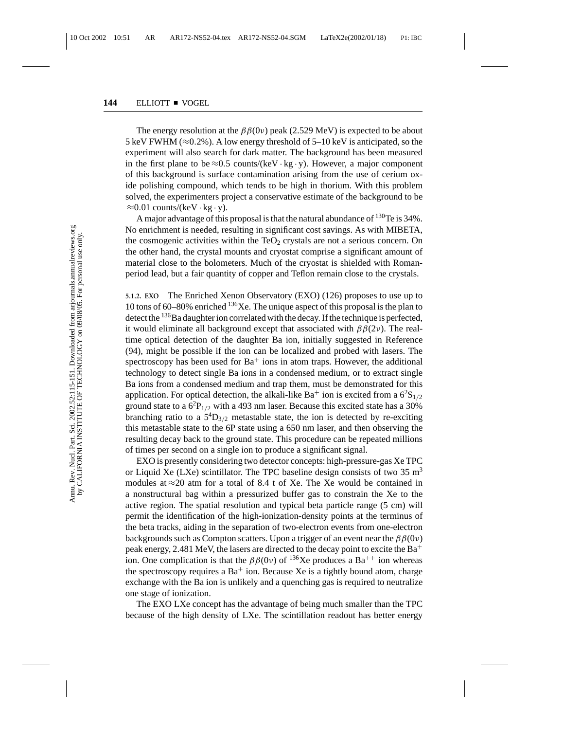The energy resolution at the  $\beta\beta(0v)$  peak (2.529 MeV) is expected to be about 5 keV FWHM ( $\approx$ 0.2%). A low energy threshold of 5–10 keV is anticipated, so the experiment will also search for dark matter. The background has been measured in the first plane to be  $\approx 0.5$  counts/(keV · kg · y). However, a major component of this background is surface contamination arising from the use of cerium oxide polishing compound, which tends to be high in thorium. With this problem solved, the experimenters project a conservative estimate of the background to be  $≈0.01$  counts/(keV · kg · y).

A major advantage of this proposal is that the natural abundance of  $130$ Te is 34%. No enrichment is needed, resulting in significant cost savings. As with MIBETA, the cosmogenic activities within the  $TeO<sub>2</sub>$  crystals are not a serious concern. On the other hand, the crystal mounts and cryostat comprise a significant amount of material close to the bolometers. Much of the cryostat is shielded with Romanperiod lead, but a fair quantity of copper and Teflon remain close to the crystals.

**5.1.2. EXO** The Enriched Xenon Observatory (EXO) (126) proposes to use up to 10 tons of 60–80% enriched  $136$ Xe. The unique aspect of this proposal is the plan to detect the <sup>136</sup>Ba daughter ion correlated with the decay. If the technique is perfected, it would eliminate all background except that associated with  $\beta\beta(2\nu)$ . The realtime optical detection of the daughter Ba ion, initially suggested in Reference (94), might be possible if the ion can be localized and probed with lasers. The spectroscopy has been used for  $Ba<sup>+</sup>$  ions in atom traps. However, the additional technology to detect single Ba ions in a condensed medium, or to extract single Ba ions from a condensed medium and trap them, must be demonstrated for this application. For optical detection, the alkali-like Ba<sup>+</sup> ion is excited from a  $6^{2}S_{1/2}$ ground state to a  $6^2P_{1/2}$  with a 493 nm laser. Because this excited state has a 30% branching ratio to a  $5^4D_{3/2}$  metastable state, the ion is detected by re-exciting this metastable state to the 6P state using a 650 nm laser, and then observing the resulting decay back to the ground state. This procedure can be repeated millions of times per second on a single ion to produce a significant signal.

EXO is presently considering two detector concepts: high-pressure-gas Xe TPC or Liquid Xe (LXe) scintillator. The TPC baseline design consists of two  $35 \text{ m}^3$ modules at  $\approx$  20 atm for a total of 8.4 t of Xe. The Xe would be contained in a nonstructural bag within a pressurized buffer gas to constrain the Xe to the active region. The spatial resolution and typical beta particle range (5 cm) will permit the identification of the high-ionization-density points at the terminus of the beta tracks, aiding in the separation of two-electron events from one-electron backgrounds such as Compton scatters. Upon a trigger of an event near the  $\beta\beta(0\nu)$ peak energy, 2.481 MeV, the lasers are directed to the decay point to excite the  $Ba^+$ ion. One complication is that the  $\beta\beta(0v)$  of <sup>136</sup>Xe produces a Ba<sup>++</sup> ion whereas the spectroscopy requires a  $Ba^+$  ion. Because Xe is a tightly bound atom, charge exchange with the Ba ion is unlikely and a quenching gas is required to neutralize one stage of ionization.

The EXO LXe concept has the advantage of being much smaller than the TPC because of the high density of LXe. The scintillation readout has better energy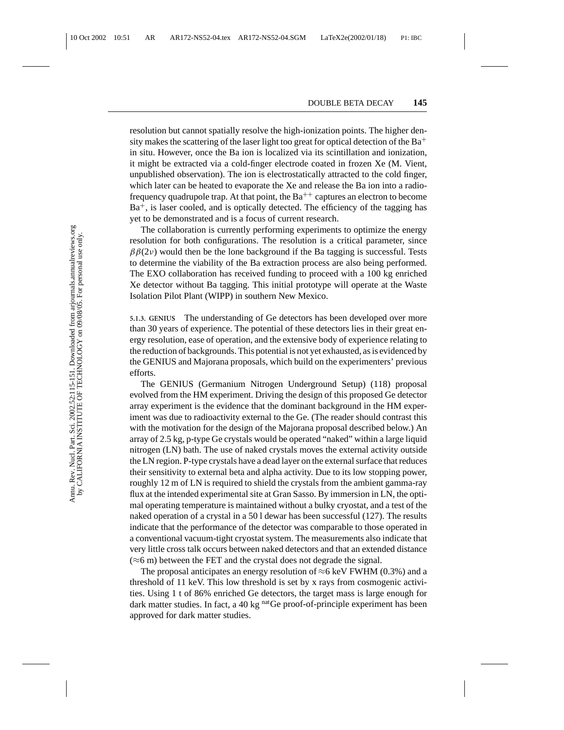resolution but cannot spatially resolve the high-ionization points. The higher density makes the scattering of the laser light too great for optical detection of the  $Ba^+$ in situ. However, once the Ba ion is localized via its scintillation and ionization, it might be extracted via a cold-finger electrode coated in frozen Xe (M. Vient, unpublished observation). The ion is electrostatically attracted to the cold finger, which later can be heated to evaporate the Xe and release the Ba ion into a radiofrequency quadrupole trap. At that point, the  $Ba^{++}$  captures an electron to become  $Ba<sup>+</sup>$ , is laser cooled, and is optically detected. The efficiency of the tagging has yet to be demonstrated and is a focus of current research.

The collaboration is currently performing experiments to optimize the energy resolution for both configurations. The resolution is a critical parameter, since  $\beta\beta(2\nu)$  would then be the lone background if the Ba tagging is successful. Tests to determine the viability of the Ba extraction process are also being performed. The EXO collaboration has received funding to proceed with a 100 kg enriched Xe detector without Ba tagging. This initial prototype will operate at the Waste Isolation Pilot Plant (WIPP) in southern New Mexico.

**5.1.3. GENIUS** The understanding of Ge detectors has been developed over more than 30 years of experience. The potential of these detectors lies in their great energy resolution, ease of operation, and the extensive body of experience relating to the reduction of backgrounds. This potential is not yet exhausted, as is evidenced by the GENIUS and Majorana proposals, which build on the experimenters' previous efforts.

The GENIUS (Germanium Nitrogen Underground Setup) (118) proposal evolved from the HM experiment. Driving the design of this proposed Ge detector array experiment is the evidence that the dominant background in the HM experiment was due to radioactivity external to the Ge. (The reader should contrast this with the motivation for the design of the Majorana proposal described below.) An array of 2.5 kg, p-type Ge crystals would be operated "naked" within a large liquid nitrogen (LN) bath. The use of naked crystals moves the external activity outside the LN region. P-type crystals have a dead layer on the external surface that reduces their sensitivity to external beta and alpha activity. Due to its low stopping power, roughly 12 m of LN is required to shield the crystals from the ambient gamma-ray flux at the intended experimental site at Gran Sasso. By immersion in LN, the optimal operating temperature is maintained without a bulky cryostat, and a test of the naked operation of a crystal in a 50 l dewar has been successful (127). The results indicate that the performance of the detector was comparable to those operated in a conventional vacuum-tight cryostat system. The measurements also indicate that very little cross talk occurs between naked detectors and that an extended distance  $(\approx 6 \text{ m})$  between the FET and the crystal does not degrade the signal.

The proposal anticipates an energy resolution of  $\approx$ 6 keV FWHM (0.3%) and a threshold of 11 keV. This low threshold is set by x rays from cosmogenic activities. Using 1 t of 86% enriched Ge detectors, the target mass is large enough for dark matter studies. In fact, a 40 kg  $<sup>nat</sup>Ge$  proof-of-principle experiment has been</sup> approved for dark matter studies.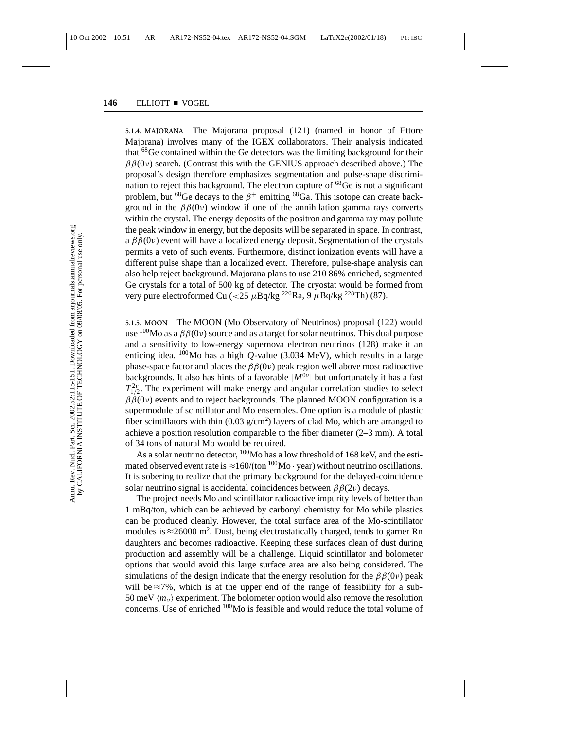**5.1.4. MAJORANA** The Majorana proposal (121) (named in honor of Ettore Majorana) involves many of the IGEX collaborators. Their analysis indicated that <sup>68</sup>Ge contained within the Ge detectors was the limiting background for their  $\beta\beta(0v)$  search. (Contrast this with the GENIUS approach described above.) The proposal's design therefore emphasizes segmentation and pulse-shape discrimination to reject this background. The electron capture of  $^{68}$ Ge is not a significant problem, but <sup>68</sup>Ge decays to the  $\beta^+$  emitting <sup>68</sup>Ga. This isotope can create background in the  $\beta\beta(0v)$  window if one of the annihilation gamma rays converts within the crystal. The energy deposits of the positron and gamma ray may pollute the peak window in energy, but the deposits will be separated in space. In contrast, a  $\beta\beta(0v)$  event will have a localized energy deposit. Segmentation of the crystals permits a veto of such events. Furthermore, distinct ionization events will have a different pulse shape than a localized event. Therefore, pulse-shape analysis can also help reject background. Majorana plans to use 210 86% enriched, segmented Ge crystals for a total of 500 kg of detector. The cryostat would be formed from very pure electroformed Cu (<25  $\mu$ Bq/kg <sup>226</sup>Ra, 9  $\mu$ Bq/kg <sup>228</sup>Th) (87).

**5.1.5. MOON** The MOON (Mo Observatory of Neutrinos) proposal (122) would use  $100$ Mo as a  $\beta\beta(0v)$  source and as a target for solar neutrinos. This dual purpose and a sensitivity to low-energy supernova electron neutrinos (128) make it an enticing idea.  $100$ Mo has a high *Q*-value (3.034 MeV), which results in a large phase-space factor and places the  $\beta\beta(0\nu)$  peak region well above most radioactive backgrounds. It also has hints of a favorable  $|M^{\overline{0}\nu}|$  but unfortunately it has a fast  $T_{1/2}^{2\nu}$ . The experiment will make energy and angular correlation studies to select  $\beta\beta(0v)$  events and to reject backgrounds. The planned MOON configuration is a supermodule of scintillator and Mo ensembles. One option is a module of plastic fiber scintillators with thin  $(0.03 \text{ g/cm}^2)$  layers of clad Mo, which are arranged to achieve a position resolution comparable to the fiber diameter (2–3 mm). A total of 34 tons of natural Mo would be required.

As a solar neutrino detector,  $100$ Mo has a low threshold of 168 keV, and the estimated observed event rate is  $\approx$  160/(ton <sup>100</sup>Mo · year) without neutrino oscillations. It is sobering to realize that the primary background for the delayed-coincidence solar neutrino signal is accidental coincidences between  $\beta\beta(2\nu)$  decays.

The project needs Mo and scintillator radioactive impurity levels of better than 1 mBq/ton, which can be achieved by carbonyl chemistry for Mo while plastics can be produced cleanly. However, the total surface area of the Mo-scintillator modules is  $\approx$ 26000 m<sup>2</sup>. Dust, being electrostatically charged, tends to garner Rn daughters and becomes radioactive. Keeping these surfaces clean of dust during production and assembly will be a challenge. Liquid scintillator and bolometer options that would avoid this large surface area are also being considered. The simulations of the design indicate that the energy resolution for the  $\beta\beta(0\nu)$  peak will be  $\approx$ 7%, which is at the upper end of the range of feasibility for a sub-50 meV  $\langle m_v \rangle$  experiment. The bolometer option would also remove the resolution concerns. Use of enriched 100Mo is feasible and would reduce the total volume of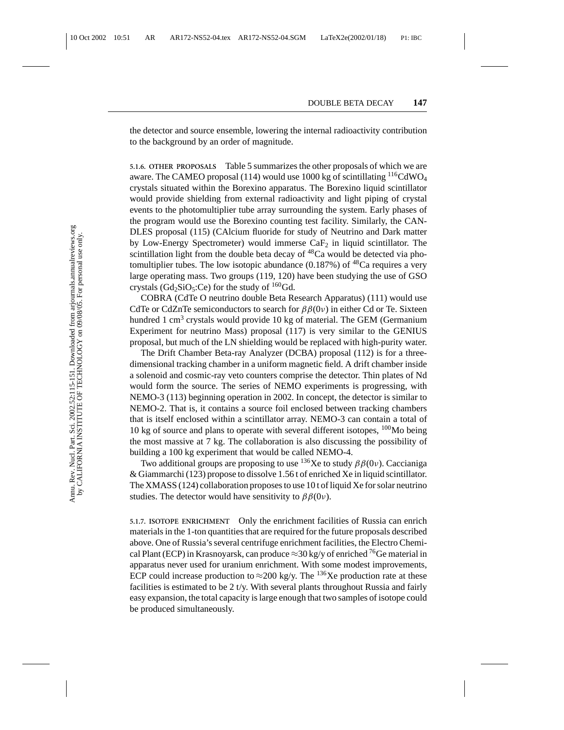the detector and source ensemble, lowering the internal radioactivity contribution to the background by an order of magnitude.

**5.1.6. OTHER PROPOSALS** Table 5 summarizes the other proposals of which we are aware. The CAMEO proposal (114) would use 1000 kg of scintillating  $116$ CdWO<sub>4</sub> crystals situated within the Borexino apparatus. The Borexino liquid scintillator would provide shielding from external radioactivity and light piping of crystal events to the photomultiplier tube array surrounding the system. Early phases of the program would use the Borexino counting test facility. Similarly, the CAN-DLES proposal (115) (CAlcium fluoride for study of Neutrino and Dark matter by Low-Energy Spectrometer) would immerse  $CaF<sub>2</sub>$  in liquid scintillator. The scintillation light from the double beta decay of  $^{48}Ca$  would be detected via photomultiplier tubes. The low isotopic abundance (0.187%) of  ${}^{48}Ca$  requires a very large operating mass. Two groups (119, 120) have been studying the use of GSO crystals ( $Gd_2SiO_5:Ce$ ) for the study of  $160Gd$ .

COBRA (CdTe O neutrino double Beta Research Apparatus) (111) would use CdTe or CdZnTe semiconductors to search for  $\beta\beta(0\nu)$  in either Cd or Te. Sixteen hundred 1 cm<sup>3</sup> crystals would provide 10 kg of material. The GEM (Germanium Experiment for neutrino Mass) proposal (117) is very similar to the GENIUS proposal, but much of the LN shielding would be replaced with high-purity water.

The Drift Chamber Beta-ray Analyzer (DCBA) proposal (112) is for a threedimensional tracking chamber in a uniform magnetic field. A drift chamber inside a solenoid and cosmic-ray veto counters comprise the detector. Thin plates of Nd would form the source. The series of NEMO experiments is progressing, with NEMO-3 (113) beginning operation in 2002. In concept, the detector is similar to NEMO-2. That is, it contains a source foil enclosed between tracking chambers that is itself enclosed within a scintillator array. NEMO-3 can contain a total of 10 kg of source and plans to operate with several different isotopes,  $100$ Mo being the most massive at 7 kg. The collaboration is also discussing the possibility of building a 100 kg experiment that would be called NEMO-4.

Two additional groups are proposing to use <sup>136</sup>Xe to study  $\beta\beta(0\nu)$ . Caccianiga & Giammarchi (123) propose to dissolve 1.56 t of enriched Xe in liquid scintillator. The XMASS (124) collaboration proposes to use 10 t of liquid Xe for solar neutrino studies. The detector would have sensitivity to  $\beta\beta(0v)$ .

**5.1.7. ISOTOPE ENRICHMENT** Only the enrichment facilities of Russia can enrich materials in the 1-ton quantities that are required for the future proposals described above. One of Russia's several centrifuge enrichment facilities, the Electro Chemical Plant (ECP) in Krasnoyarsk, can produce  $\approx$ 30 kg/y of enriched <sup>76</sup>Ge material in apparatus never used for uranium enrichment. With some modest improvements, ECP could increase production to  $\approx$ 200 kg/y. The <sup>136</sup>Xe production rate at these facilities is estimated to be 2 t/y. With several plants throughout Russia and fairly easy expansion, the total capacity is large enough that two samples of isotope could be produced simultaneously.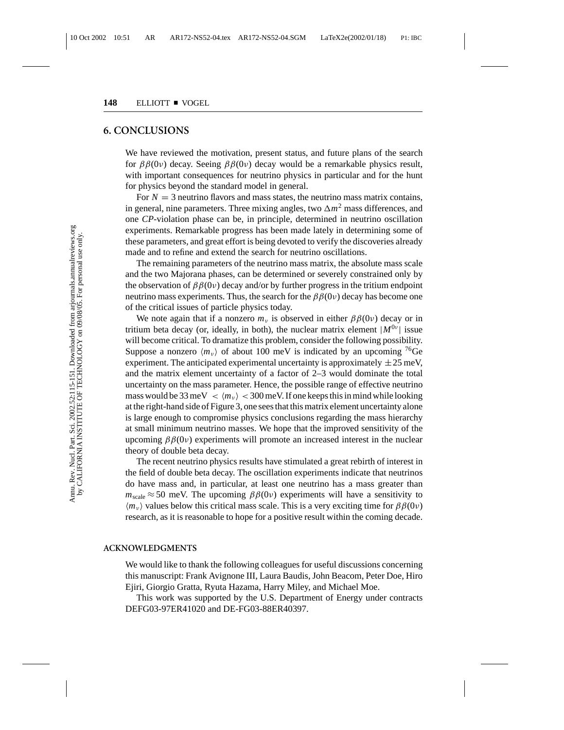#### **6. CONCLUSIONS**

We have reviewed the motivation, present status, and future plans of the search for  $ββ(0ν)$  decay. Seeing  $ββ(0ν)$  decay would be a remarkable physics result, with important consequences for neutrino physics in particular and for the hunt for physics beyond the standard model in general.

For  $N = 3$  neutrino flavors and mass states, the neutrino mass matrix contains, in general, nine parameters. Three mixing angles, two  $\Delta m^2$  mass differences, and one *CP*-violation phase can be, in principle, determined in neutrino oscillation experiments. Remarkable progress has been made lately in determining some of these parameters, and great effort is being devoted to verify the discoveries already made and to refine and extend the search for neutrino oscillations.

The remaining parameters of the neutrino mass matrix, the absolute mass scale and the two Majorana phases, can be determined or severely constrained only by the observation of  $\beta\beta(0v)$  decay and/or by further progress in the tritium endpoint neutrino mass experiments. Thus, the search for the  $\beta\beta(0v)$  decay has become one of the critical issues of particle physics today.

We note again that if a nonzero  $m_{\nu}$  is observed in either  $\beta \beta(0\nu)$  decay or in tritium beta decay (or, ideally, in both), the nuclear matrix element  $|M^{0\nu}|$  issue will become critical. To dramatize this problem, consider the following possibility. Suppose a nonzero  $\langle m_{\nu} \rangle$  of about 100 meV is indicated by an upcoming <sup>76</sup>Ge experiment. The anticipated experimental uncertainty is approximately  $\pm 25$  meV, and the matrix element uncertainty of a factor of 2–3 would dominate the total uncertainty on the mass parameter. Hence, the possible range of effective neutrino mass would be 33 meV  $\langle m_v \rangle$   $\langle$  300 meV. If one keeps this in mind while looking at the right-hand side of Figure 3, one sees that this matrix element uncertainty alone is large enough to compromise physics conclusions regarding the mass hierarchy at small minimum neutrino masses. We hope that the improved sensitivity of the upcoming  $ββ(0ν)$  experiments will promote an increased interest in the nuclear theory of double beta decay.

The recent neutrino physics results have stimulated a great rebirth of interest in the field of double beta decay. The oscillation experiments indicate that neutrinos do have mass and, in particular, at least one neutrino has a mass greater than  $m_{scale} \approx 50$  meV. The upcoming  $\beta\beta(0\nu)$  experiments will have a sensitivity to  $\langle m_{\nu} \rangle$  values below this critical mass scale. This is a very exciting time for  $\beta \beta(0\nu)$ research, as it is reasonable to hope for a positive result within the coming decade.

#### **ACKNOWLEDGMENTS**

We would like to thank the following colleagues for useful discussions concerning this manuscript: Frank Avignone III, Laura Baudis, John Beacom, Peter Doe, Hiro Ejiri, Giorgio Gratta, Ryuta Hazama, Harry Miley, and Michael Moe.

This work was supported by the U.S. Department of Energy under contracts DEFG03-97ER41020 and DE-FG03-88ER40397.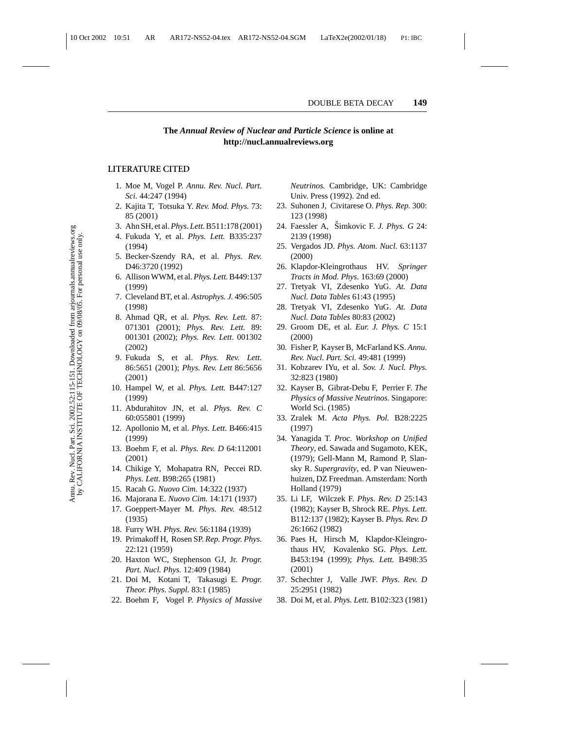#### **The** *Annual Review of Nuclear and Particle Science* **is online at http://nucl.annualreviews.org**

#### **LITERATURE CITED**

- 1. Moe M, Vogel P. *Annu. Rev. Nucl. Part. Sci.* 44:247 (1994)
- 2. Kajita T, Totsuka Y. *Rev. Mod. Phys.* 73: 85 (2001)
- 3. Ahn SH, et al.*Phys. Lett.*B511:178 (2001)
- 4. Fukuda Y, et al. *Phys. Lett.* B335:237 (1994)
- 5. Becker-Szendy RA, et al. *Phys. Rev.* D46:3720 (1992)
- 6. Allison WWM, et al. *Phys. Lett.*B449:137 (1999)
- 7. Cleveland BT, et al. *Astrophys. J.* 496:505 (1998)
- 8. Ahmad QR, et al. *Phys. Rev. Lett.* 87: 071301 (2001); *Phys. Rev. Lett.* 89: 001301 (2002); *Phys. Rev. Lett*. 001302 (2002)
- 9. Fukuda S, et al. *Phys. Rev. Lett.* 86:5651 (2001); *Phys. Rev. Lett* 86:5656 (2001)
- 10. Hampel W, et al. *Phys. Lett.* B447:127 (1999)
- 11. Abdurahitov JN, et al. *Phys. Rev. C* 60:055801 (1999)
- 12. Apollonio M, et al. *Phys. Lett.* B466:415 (1999)
- 13. Boehm F, et al. *Phys. Rev. D* 64:112001 (2001)
- 14. Chikige Y, Mohapatra RN, Peccei RD. *Phys. Lett.* B98:265 (1981)
- 15. Racah G. *Nuovo Cim.* 14:322 (1937)
- 16. Majorana E. *Nuovo Cim.* 14:171 (1937)
- 17. Goeppert-Mayer M. *Phys. Rev.* 48:512 (1935)
- 18. Furry WH. *Phys. Rev.* 56:1184 (1939)
- 19. Primakoff H, Rosen SP. *Rep. Progr. Phys.* 22:121 (1959)
- 20. Haxton WC, Stephenson GJ, Jr. *Progr. Part. Nucl. Phys.* 12:409 (1984)
- 21. Doi M, Kotani T, Takasugi E. *Progr. Theor. Phys. Suppl.* 83:1 (1985)
- 22. Boehm F, Vogel P. *Physics of Massive*

*Neutrinos.* Cambridge, UK: Cambridge Univ. Press (1992). 2nd ed.

- 23. Suhonen J, Civitarese O. *Phys. Rep.* 300: 123 (1998)
- 24. Faessler A, Simkovic F. *J. Phys. G* 24: 2139 (1998)
- 25. Vergados JD. *Phys. Atom. Nucl.* 63:1137 (2000)
- 26. Klapdor-Kleingrothaus HV. *Springer Tracts in Mod. Phys.* 163:69 (2000)
- 27. Tretyak VI, Zdesenko YuG. *At. Data Nucl. Data Tables* 61:43 (1995)
- 28. Tretyak VI, Zdesenko YuG. *At. Data Nucl. Data Tables* 80:83 (2002)
- 29. Groom DE, et al. *Eur. J. Phys. C* 15:1 (2000)
- 30. Fisher P, Kayser B, McFarland KS. *Annu. Rev. Nucl. Part. Sci.* 49:481 (1999)
- 31. Kobzarev IYu, et al. *Sov. J. Nucl. Phys.* 32:823 (1980)
- 32. Kayser B, Gibrat-Debu F, Perrier F. *The Physics of Massive Neutrinos.* Singapore: World Sci. (1985)
- 33. Zralek M. *Acta Phys. Pol.* B28:2225 (1997)
- 34. Yanagida T. *Proc. Workshop on Unified Theory*, ed. Sawada and Sugamoto, KEK, (1979); Gell-Mann M, Ramond P, Slansky R. *Supergravity*, ed. P van Nieuwenhuizen, DZ Freedman. Amsterdam: North Holland (1979)
- 35. Li LF, Wilczek F. *Phys. Rev. D* 25:143 (1982); Kayser B, Shrock RE. *Phys. Lett.* B112:137 (1982); Kayser B. *Phys. Rev. D* 26:1662 (1982)
- 36. Paes H, Hirsch M, Klapdor-Kleingrothaus HV, Kovalenko SG. *Phys. Lett.* B453:194 (1999); *Phys. Lett.* B498:35 (2001)
- 37. Schechter J, Valle JWF. *Phys. Rev. D* 25:2951 (1982)
- 38. Doi M, et al. *Phys. Lett.* B102:323 (1981)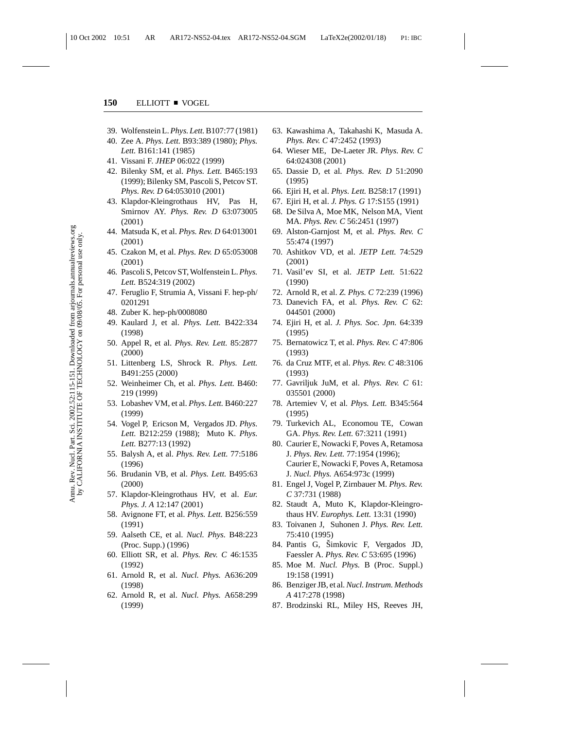- 39. Wolfenstein L.*Phys. Lett.*B107:77 (1981)
- 40. Zee A. *Phys. Lett.* B93:389 (1980); *Phys. Lett.* B161:141 (1985)
- 41. Vissani F. *JHEP* 06:022 (1999)
- 42. Bilenky SM, et al. *Phys. Lett.* B465:193 (1999); Bilenky SM, Pascoli S, Petcov ST. *Phys. Rev. D* 64:053010 (2001)
- 43. Klapdor-Kleingrothaus HV, Pas H, Smirnov AY. *Phys. Rev. D* 63:073005 (2001)
- 44. Matsuda K, et al. *Phys. Rev. D* 64:013001 (2001)
- 45. Czakon M, et al. *Phys. Rev. D* 65:053008 (2001)
- 46. Pascoli S, Petcov ST, Wolfenstein L.*Phys. Lett.* B524:319 (2002)
- 47. Feruglio F, Strumia A, Vissani F. hep-ph/ 0201291
- 48. Zuber K. hep-ph/0008080
- 49. Kaulard J, et al. *Phys. Lett.* B422:334 (1998)
- 50. Appel R, et al. *Phys. Rev. Lett.* 85:2877 (2000)
- 51. Littenberg LS, Shrock R. *Phys. Lett.* B491:255 (2000)
- 52. Weinheimer Ch, et al. *Phys. Lett.* B460: 219 (1999)
- 53. Lobashev VM, et al. *Phys. Lett.* B460:227 (1999)
- 54. Vogel P, Ericson M, Vergados JD. *Phys. Lett.* B212:259 (1988); Muto K. *Phys. Lett.* B277:13 (1992)
- 55. Balysh A, et al. *Phys. Rev. Lett.* 77:5186 (1996)
- 56. Brudanin VB, et al. *Phys. Lett.* B495:63 (2000)
- 57. Klapdor-Kleingrothaus HV, et al. *Eur. Phys. J. A* 12:147 (2001)
- 58. Avignone FT, et al. *Phys. Lett.* B256:559 (1991)
- 59. Aalseth CE, et al. *Nucl. Phys.* B48:223 (Proc. Supp.) (1996)
- 60. Elliott SR, et al. *Phys. Rev. C* 46:1535 (1992)
- 61. Arnold R, et al. *Nucl. Phys.* A636:209 (1998)
- 62. Arnold R, et al. *Nucl. Phys.* A658:299 (1999)
- 63. Kawashima A, Takahashi K, Masuda A. *Phys. Rev. C* 47:2452 (1993)
- 64. Wieser ME, De-Laeter JR. *Phys. Rev. C* 64:024308 (2001)
- 65. Dassie D, et al. *Phys. Rev. D* 51:2090 (1995)
- 66. Ejiri H, et al. *Phys. Lett.* B258:17 (1991)
- 67. Ejiri H, et al. *J. Phys. G* 17:S155 (1991)
- 68. De Silva A, Moe MK, Nelson MA, Vient MA. *Phys. Rev. C* 56:2451 (1997)
- 69. Alston-Garnjost M, et al. *Phys. Rev. C* 55:474 (1997)
- 70. Ashitkov VD, et al. *JETP Lett.* 74:529 (2001)
- 71. Vasil'ev SI, et al. *JETP Lett.* 51:622 (1990)
- 72. Arnold R, et al. *Z. Phys. C* 72:239 (1996)
- 73. Danevich FA, et al. *Phys. Rev. C* 62: 044501 (2000)
- 74. Ejiri H, et al. *J. Phys. Soc. Jpn.* 64:339 (1995)
- 75. Bernatowicz T, et al. *Phys. Rev. C* 47:806 (1993)
- 76. da Cruz MTF, et al. *Phys. Rev. C* 48:3106 (1993)
- 77. Gavriljuk JuM, et al. *Phys. Rev. C* 61: 035501 (2000)
- 78. Artemiev V, et al. *Phys. Lett.* B345:564 (1995)
- 79. Turkevich AL, Economou TE, Cowan GA. *Phys. Rev. Lett.* 67:3211 (1991)
- 80. Caurier E, Nowacki F, Poves A, Retamosa J. *Phys. Rev. Lett.* 77:1954 (1996); Caurier E, Nowacki F, Poves A, Retamosa J. *Nucl. Phys.* A654:973c (1999)
- 81. Engel J, Vogel P, Zirnbauer M. *Phys. Rev. C* 37:731 (1988)
- 82. Staudt A, Muto K, Klapdor-Kleingrothaus HV. *Europhys. Lett.* 13:31 (1990)
- 83. Toivanen J, Suhonen J. *Phys. Rev. Lett.* 75:410 (1995)
- 84. Pantis G, Simkovic F, Vergados JD, Faessler A. *Phys. Rev. C* 53:695 (1996)
- 85. Moe M. *Nucl. Phys.* B (Proc. Suppl.) 19:158 (1991)
- 86. Benziger JB, et al.*Nucl. Instrum. Methods A* 417:278 (1998)
- 87. Brodzinski RL, Miley HS, Reeves JH,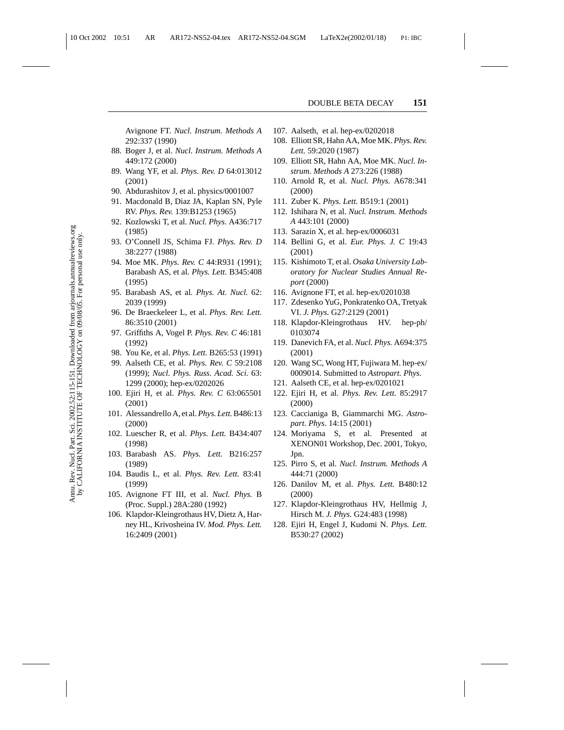Avignone FT. *Nucl. Instrum. Methods A* 292:337 (1990)

- 88. Boger J, et al. *Nucl. Instrum. Methods A* 449:172 (2000)
- 89. Wang YF, et al. *Phys. Rev. D* 64:013012 (2001)
- 90. Abdurashitov J, et al. physics/0001007
- 91. Macdonald B, Diaz JA, Kaplan SN, Pyle RV. *Phys. Rev.* 139:B1253 (1965)
- 92. Kozlowski T, et al. *Nucl. Phys.* A436:717 (1985)
- 93. O'Connell JS, Schima FJ. *Phys. Rev. D* 38:2277 (1988)
- 94. Moe MK. *Phys. Rev. C* 44:R931 (1991); Barabash AS, et al. *Phys. Lett.* B345:408 (1995)
- 95. Barabash AS, et al. *Phys. At. Nucl.* 62: 2039 (1999)
- 96. De Braeckeleer L, et al. *Phys. Rev. Lett.* 86:3510 (2001)
- 97. Griffiths A, Vogel P. *Phys. Rev. C* 46:181 (1992)
- 98. You Ke, et al. *Phys. Lett.* B265:53 (1991)
- 99. Aalseth CE, et al. *Phys. Rev. C* 59:2108 (1999); *Nucl. Phys. Russ. Acad. Sci.* 63: 1299 (2000); hep-ex/0202026
- 100. Ejiri H, et al. *Phys. Rev. C* 63:065501 (2001)
- 101. Alessandrello A, et al.*Phys. Lett.*B486:13 (2000)
- 102. Luescher R, et al. *Phys. Lett.* B434:407 (1998)
- 103. Barabash AS. *Phys. Lett.* B216:257 (1989)
- 104. Baudis L, et al. *Phys. Rev. Lett.* 83:41 (1999)
- 105. Avignone FT III, et al. *Nucl. Phys.* B (Proc. Suppl.) 28A:280 (1992)
- 106. Klapdor-Kleingrothaus HV, Dietz A, Harney HL, Krivosheina IV. *Mod. Phys. Lett.* 16:2409 (2001)
- 107. Aalseth, et al. hep-ex/0202018
- 108. Elliott SR, Hahn AA, Moe MK. *Phys. Rev. Lett.* 59:2020 (1987)
- 109. Elliott SR, Hahn AA, Moe MK. *Nucl. Instrum. Methods A* 273:226 (1988)
- 110. Arnold R, et al. *Nucl. Phys.* A678:341 (2000)
- 111. Zuber K. *Phys. Lett.* B519:1 (2001)
- 112. Ishihara N, et al. *Nucl. Instrum. Methods A* 443:101 (2000)
- 113. Sarazin X, et al. hep-ex/0006031
- 114. Bellini G, et al. *Eur. Phys. J. C* 19:43 (2001)
- 115. Kishimoto T, et al. *Osaka University Laboratory for Nuclear Studies Annual Report* (2000)
- 116. Avignone FT, et al. hep-ex/0201038
- 117. Zdesenko YuG, Ponkratenko OA, Tretyak VI. *J. Phys.* G27:2129 (2001)
- 118. Klapdor-Kleingrothaus HV. hep-ph/ 0103074
- 119. Danevich FA, et al. *Nucl. Phys.* A694:375 (2001)
- 120. Wang SC, Wong HT, Fujiwara M. hep-ex/ 0009014. Submitted to *Astropart. Phys.*
- 121. Aalseth CE, et al. hep-ex/0201021
- 122. Ejiri H, et al. *Phys. Rev. Lett.* 85:2917 (2000)
- 123. Caccianiga B, Giammarchi MG. *Astropart. Phys.* 14:15 (2001)
- 124. Moriyama S, et al. Presented at XENON01 Workshop, Dec. 2001, Tokyo, Jpn.
- 125. Pirro S, et al. *Nucl. Instrum. Methods A* 444:71 (2000)
- 126. Danilov M, et al. *Phys. Lett.* B480:12 (2000)
- 127. Klapdor-Kleingrothaus HV, Hellmig J, Hirsch M. *J. Phys.* G24:483 (1998)
- 128. Ejiri H, Engel J, Kudomi N. *Phys. Lett.* B530:27 (2002)